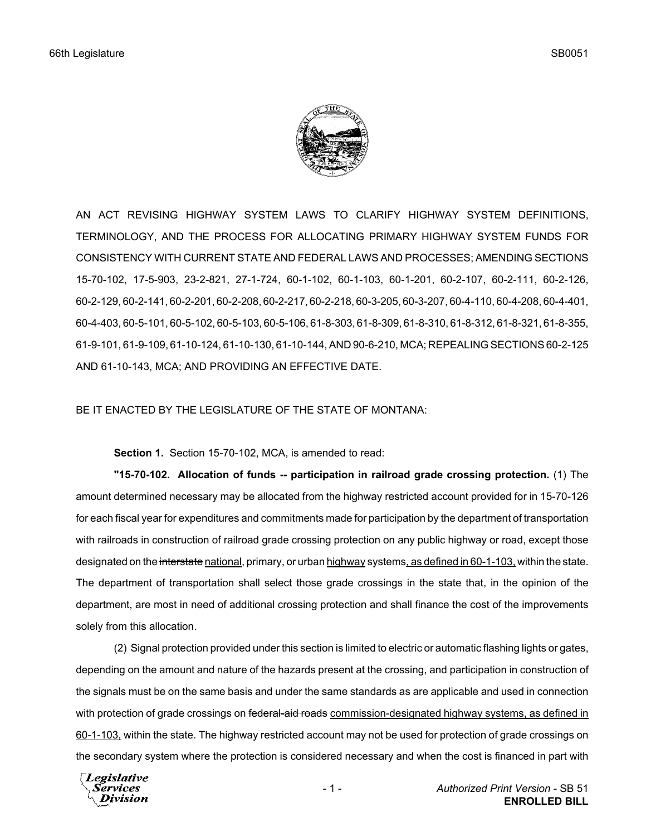

AN ACT REVISING HIGHWAY SYSTEM LAWS TO CLARIFY HIGHWAY SYSTEM DEFINITIONS, TERMINOLOGY, AND THE PROCESS FOR ALLOCATING PRIMARY HIGHWAY SYSTEM FUNDS FOR CONSISTENCY WITH CURRENT STATE AND FEDERAL LAWS AND PROCESSES; AMENDING SECTIONS 15-70-102, 17-5-903, 23-2-821, 27-1-724, 60-1-102, 60-1-103, 60-1-201, 60-2-107, 60-2-111, 60-2-126, 60-2-129, 60-2-141, 60-2-201, 60-2-208, 60-2-217, 60-2-218, 60-3-205, 60-3-207, 60-4-110, 60-4-208, 60-4-401, 60-4-403, 60-5-101, 60-5-102, 60-5-103, 60-5-106, 61-8-303, 61-8-309, 61-8-310, 61-8-312, 61-8-321, 61-8-355, 61-9-101, 61-9-109, 61-10-124, 61-10-130, 61-10-144, AND 90-6-210, MCA; REPEALING SECTIONS 60-2-125 AND 61-10-143, MCA; AND PROVIDING AN EFFECTIVE DATE.

BE IT ENACTED BY THE LEGISLATURE OF THE STATE OF MONTANA:

**Section 1.** Section 15-70-102, MCA, is amended to read:

**"15-70-102. Allocation of funds -- participation in railroad grade crossing protection.** (1) The amount determined necessary may be allocated from the highway restricted account provided for in 15-70-126 for each fiscal year for expenditures and commitments made for participation by the department of transportation with railroads in construction of railroad grade crossing protection on any public highway or road, except those designated on the interstate national, primary, or urban highway systems, as defined in 60-1-103, within the state. The department of transportation shall select those grade crossings in the state that, in the opinion of the department, are most in need of additional crossing protection and shall finance the cost of the improvements solely from this allocation.

(2) Signal protection provided under this section is limited to electric or automatic flashing lights or gates, depending on the amount and nature of the hazards present at the crossing, and participation in construction of the signals must be on the same basis and under the same standards as are applicable and used in connection with protection of grade crossings on federal-aid roads commission-designated highway systems, as defined in 60-1-103, within the state. The highway restricted account may not be used for protection of grade crossings on the secondary system where the protection is considered necessary and when the cost is financed in part with

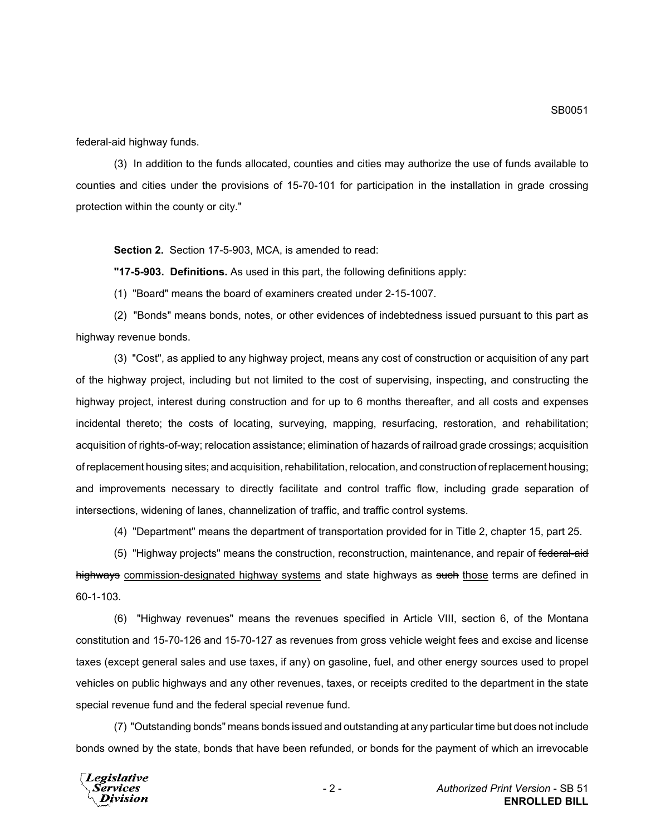federal-aid highway funds.

(3) In addition to the funds allocated, counties and cities may authorize the use of funds available to counties and cities under the provisions of 15-70-101 for participation in the installation in grade crossing protection within the county or city."

**Section 2.** Section 17-5-903, MCA, is amended to read:

**"17-5-903. Definitions.** As used in this part, the following definitions apply:

(1) "Board" means the board of examiners created under 2-15-1007.

(2) "Bonds" means bonds, notes, or other evidences of indebtedness issued pursuant to this part as highway revenue bonds.

(3) "Cost", as applied to any highway project, means any cost of construction or acquisition of any part of the highway project, including but not limited to the cost of supervising, inspecting, and constructing the highway project, interest during construction and for up to 6 months thereafter, and all costs and expenses incidental thereto; the costs of locating, surveying, mapping, resurfacing, restoration, and rehabilitation; acquisition of rights-of-way; relocation assistance; elimination of hazards of railroad grade crossings; acquisition of replacement housing sites; and acquisition, rehabilitation, relocation, and construction of replacement housing; and improvements necessary to directly facilitate and control traffic flow, including grade separation of intersections, widening of lanes, channelization of traffic, and traffic control systems.

(4) "Department" means the department of transportation provided for in Title 2, chapter 15, part 25.

(5) "Highway projects" means the construction, reconstruction, maintenance, and repair of federal-aid highways commission-designated highway systems and state highways as such those terms are defined in 60-1-103.

(6) "Highway revenues" means the revenues specified in Article VIII, section 6, of the Montana constitution and 15-70-126 and 15-70-127 as revenues from gross vehicle weight fees and excise and license taxes (except general sales and use taxes, if any) on gasoline, fuel, and other energy sources used to propel vehicles on public highways and any other revenues, taxes, or receipts credited to the department in the state special revenue fund and the federal special revenue fund.

(7) "Outstanding bonds" means bonds issued and outstanding at any particular time but does not include bonds owned by the state, bonds that have been refunded, or bonds for the payment of which an irrevocable

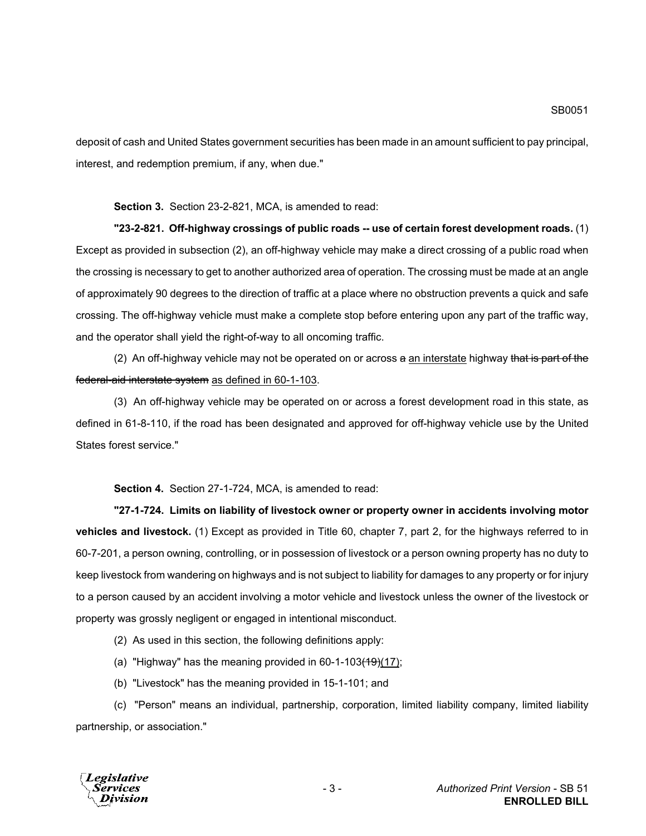deposit of cash and United States government securities has been made in an amount sufficient to pay principal, interest, and redemption premium, if any, when due."

**Section 3.** Section 23-2-821, MCA, is amended to read:

**"23-2-821. Off-highway crossings of public roads -- use of certain forest development roads.** (1) Except as provided in subsection (2), an off-highway vehicle may make a direct crossing of a public road when the crossing is necessary to get to another authorized area of operation. The crossing must be made at an angle of approximately 90 degrees to the direction of traffic at a place where no obstruction prevents a quick and safe crossing. The off-highway vehicle must make a complete stop before entering upon any part of the traffic way, and the operator shall yield the right-of-way to all oncoming traffic.

(2) An off-highway vehicle may not be operated on or across  $a$  an interstate highway that is part of the federal-aid interstate system as defined in 60-1-103.

(3) An off-highway vehicle may be operated on or across a forest development road in this state, as defined in 61-8-110, if the road has been designated and approved for off-highway vehicle use by the United States forest service."

**Section 4.** Section 27-1-724, MCA, is amended to read:

**"27-1-724. Limits on liability of livestock owner or property owner in accidents involving motor vehicles and livestock.** (1) Except as provided in Title 60, chapter 7, part 2, for the highways referred to in 60-7-201, a person owning, controlling, or in possession of livestock or a person owning property has no duty to keep livestock from wandering on highways and is not subject to liability for damages to any property or for injury to a person caused by an accident involving a motor vehicle and livestock unless the owner of the livestock or property was grossly negligent or engaged in intentional misconduct.

(2) As used in this section, the following definitions apply:

- (a) "Highway" has the meaning provided in 60-1-103 $(19)(17)$ ;
- (b) "Livestock" has the meaning provided in 15-1-101; and

(c) "Person" means an individual, partnership, corporation, limited liability company, limited liability partnership, or association."

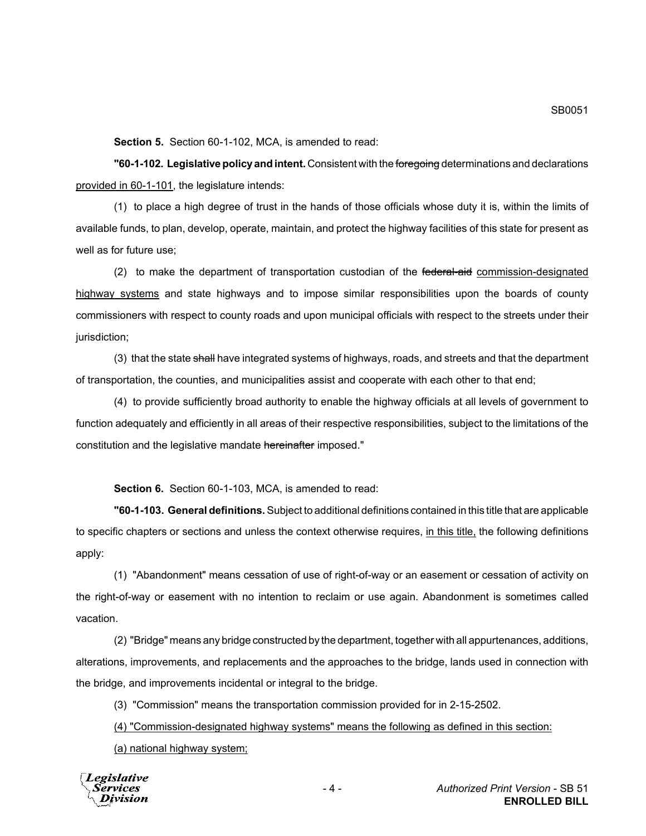**Section 5.** Section 60-1-102, MCA, is amended to read:

**"60-1-102. Legislative policy and intent.** Consistent with the foregoing determinations and declarations provided in 60-1-101, the legislature intends:

(1) to place a high degree of trust in the hands of those officials whose duty it is, within the limits of available funds, to plan, develop, operate, maintain, and protect the highway facilities of this state for present as well as for future use;

(2) to make the department of transportation custodian of the federal-aid commission-designated highway systems and state highways and to impose similar responsibilities upon the boards of county commissioners with respect to county roads and upon municipal officials with respect to the streets under their jurisdiction;

(3) that the state shall have integrated systems of highways, roads, and streets and that the department of transportation, the counties, and municipalities assist and cooperate with each other to that end;

(4) to provide sufficiently broad authority to enable the highway officials at all levels of government to function adequately and efficiently in all areas of their respective responsibilities, subject to the limitations of the constitution and the legislative mandate hereinafter imposed."

**Section 6.** Section 60-1-103, MCA, is amended to read:

**"60-1-103. General definitions.** Subject to additional definitions contained in this title that are applicable to specific chapters or sections and unless the context otherwise requires, in this title, the following definitions apply:

(1) "Abandonment" means cessation of use of right-of-way or an easement or cessation of activity on the right-of-way or easement with no intention to reclaim or use again. Abandonment is sometimes called vacation.

(2) "Bridge" means any bridge constructed by the department, together with all appurtenances, additions, alterations, improvements, and replacements and the approaches to the bridge, lands used in connection with the bridge, and improvements incidental or integral to the bridge.

(3) "Commission" means the transportation commission provided for in 2-15-2502.

(4) "Commission-designated highway systems" means the following as defined in this section:

(a) national highway system;

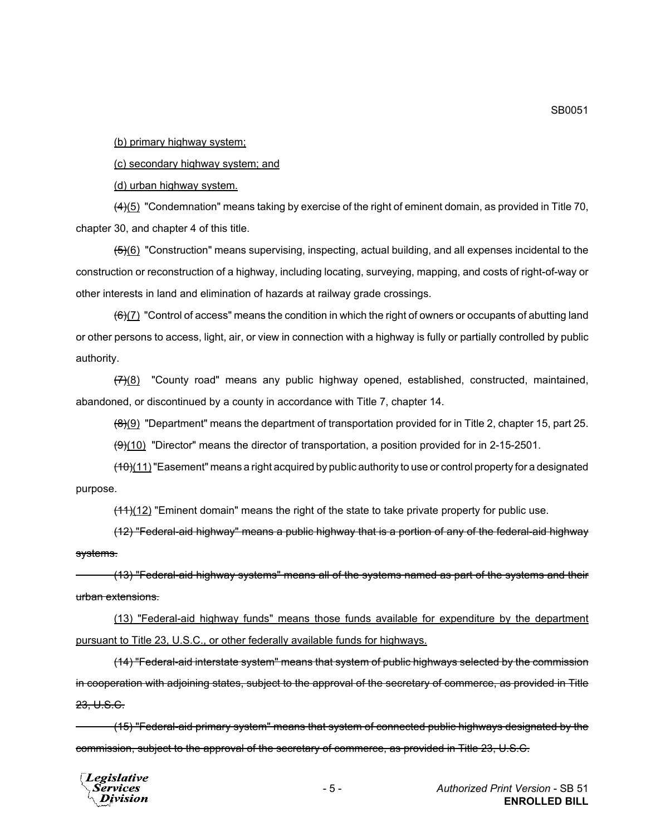(b) primary highway system;

(c) secondary highway system; and

(d) urban highway system.

 $\frac{(4)(5)}{(4)(5)}$  "Condemnation" means taking by exercise of the right of eminent domain, as provided in Title 70, chapter 30, and chapter 4 of this title.

 $(5)(6)$  "Construction" means supervising, inspecting, actual building, and all expenses incidental to the construction or reconstruction of a highway, including locating, surveying, mapping, and costs of right-of-way or other interests in land and elimination of hazards at railway grade crossings.

 $(6)$ (7) "Control of access" means the condition in which the right of owners or occupants of abutting land or other persons to access, light, air, or view in connection with a highway is fully or partially controlled by public authority.

 $(7)(8)$  "County road" means any public highway opened, established, constructed, maintained, abandoned, or discontinued by a county in accordance with Title 7, chapter 14.

 $(8)(9)$  "Department" means the department of transportation provided for in Title 2, chapter 15, part 25.

 $(9)$ (10) "Director" means the director of transportation, a position provided for in 2-15-2501.

 $(10)(11)$  "Easement" means a right acquired by public authority to use or control property for a designated purpose.

 $(11)(12)$  "Eminent domain" means the right of the state to take private property for public use.

(12) "Federal-aid highway" means a public highway that is a portion of any of the federal-aid highway systems.

(13) "Federal-aid highway systems" means all of the systems named as part of the systems and their urban extensions.

(13) "Federal-aid highway funds" means those funds available for expenditure by the department pursuant to Title 23, U.S.C., or other federally available funds for highways.

(14) "Federal-aid interstate system" means that system of public highways selected by the commission in cooperation with adjoining states, subject to the approval of the secretary of commerce, as provided in Title 23, U.S.C.

(15) "Federal-aid primary system" means that system of connected public highways designated by the commission, subject to the approval of the secretary of commerce, as provided in Title 23, U.S.C.



SB0051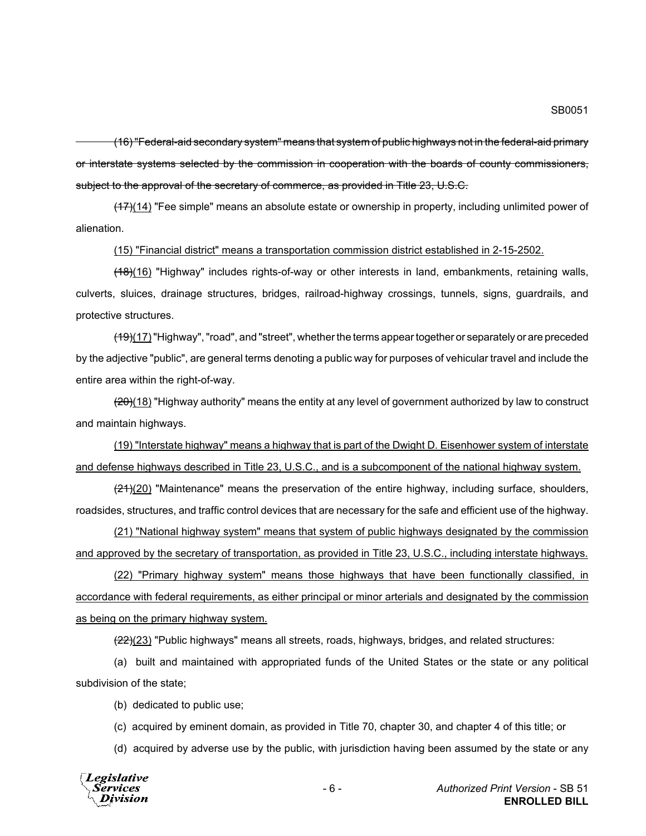(16) "Federal-aid secondary system" means that system of public highways not in the federal-aid primary or interstate systems selected by the commission in cooperation with the boards of county commissioners, subject to the approval of the secretary of commerce, as provided in Title 23, U.S.C.

(17)(14) "Fee simple" means an absolute estate or ownership in property, including unlimited power of alienation.

#### (15) "Financial district" means a transportation commission district established in 2-15-2502.

(18)(16) "Highway" includes rights-of-way or other interests in land, embankments, retaining walls, culverts, sluices, drainage structures, bridges, railroad-highway crossings, tunnels, signs, guardrails, and protective structures.

 $(19)(17)$  "Highway", "road", and "street", whether the terms appear together or separately or are preceded by the adjective "public", are general terms denoting a public way for purposes of vehicular travel and include the entire area within the right-of-way.

 $(20)(18)$  "Highway authority" means the entity at any level of government authorized by law to construct and maintain highways.

(19) "Interstate highway" means a highway that is part of the Dwight D. Eisenhower system of interstate and defense highways described in Title 23, U.S.C., and is a subcomponent of the national highway system.

 $(21)(20)$  "Maintenance" means the preservation of the entire highway, including surface, shoulders, roadsides, structures, and traffic control devices that are necessary for the safe and efficient use of the highway.

(21) "National highway system" means that system of public highways designated by the commission and approved by the secretary of transportation, as provided in Title 23, U.S.C., including interstate highways.

(22) "Primary highway system" means those highways that have been functionally classified, in accordance with federal requirements, as either principal or minor arterials and designated by the commission as being on the primary highway system.

 $(22)(23)$  "Public highways" means all streets, roads, highways, bridges, and related structures:

(a) built and maintained with appropriated funds of the United States or the state or any political subdivision of the state;

(b) dedicated to public use;

(c) acquired by eminent domain, as provided in Title 70, chapter 30, and chapter 4 of this title; or

(d) acquired by adverse use by the public, with jurisdiction having been assumed by the state or any

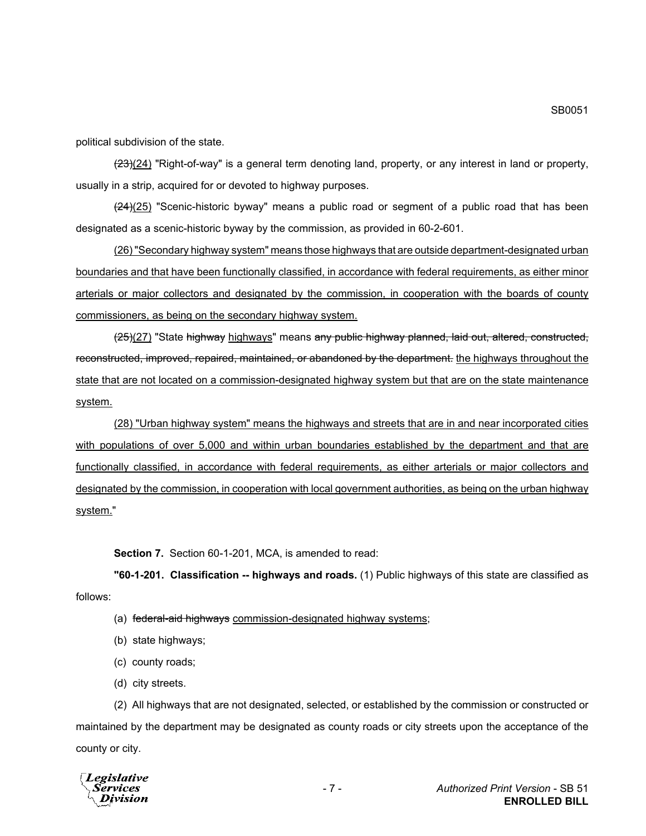political subdivision of the state.

 $(23)(24)$  "Right-of-way" is a general term denoting land, property, or any interest in land or property, usually in a strip, acquired for or devoted to highway purposes.

 $\left(\frac{24}{25}\right)$  "Scenic-historic byway" means a public road or segment of a public road that has been designated as a scenic-historic byway by the commission, as provided in 60-2-601.

(26) "Secondary highway system" means those highways that are outside department-designated urban boundaries and that have been functionally classified, in accordance with federal requirements, as either minor arterials or major collectors and designated by the commission, in cooperation with the boards of county commissioners, as being on the secondary highway system.

(25)(27) "State highway highways" means any public highway planned, laid out, altered, constructed, reconstructed, improved, repaired, maintained, or abandoned by the department. the highways throughout the state that are not located on a commission-designated highway system but that are on the state maintenance system.

(28) "Urban highway system" means the highways and streets that are in and near incorporated cities with populations of over 5,000 and within urban boundaries established by the department and that are functionally classified, in accordance with federal requirements, as either arterials or major collectors and designated by the commission, in cooperation with local government authorities, as being on the urban highway system."

**Section 7.** Section 60-1-201, MCA, is amended to read:

**"60-1-201. Classification -- highways and roads.** (1) Public highways of this state are classified as follows:

- (a) federal-aid highways commission-designated highway systems;
- (b) state highways;
- (c) county roads;
- (d) city streets.

(2) All highways that are not designated, selected, or established by the commission or constructed or maintained by the department may be designated as county roads or city streets upon the acceptance of the county or city.

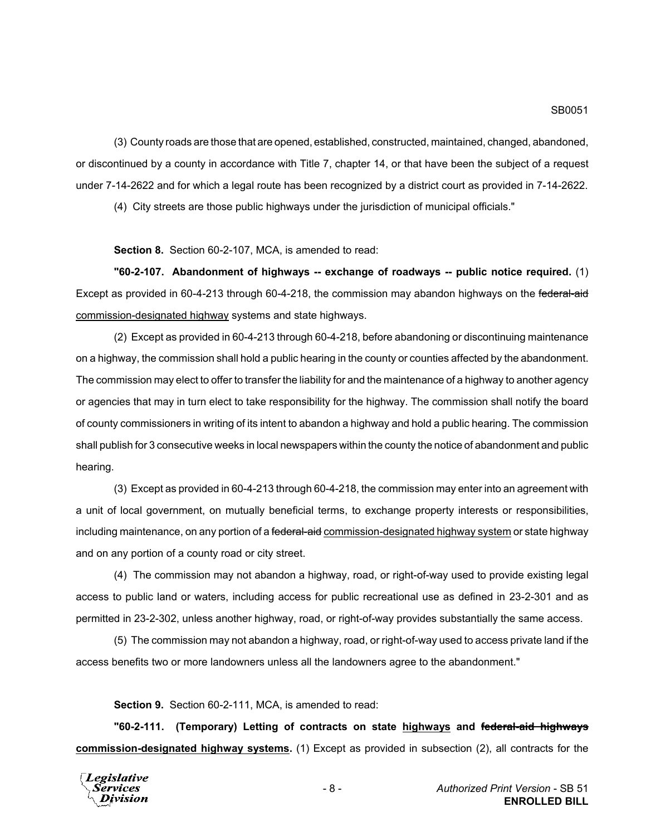(3) County roads are those that are opened, established, constructed, maintained, changed, abandoned, or discontinued by a county in accordance with Title 7, chapter 14, or that have been the subject of a request under 7-14-2622 and for which a legal route has been recognized by a district court as provided in 7-14-2622.

(4) City streets are those public highways under the jurisdiction of municipal officials."

**Section 8.** Section 60-2-107, MCA, is amended to read:

**"60-2-107. Abandonment of highways -- exchange of roadways -- public notice required.** (1) Except as provided in 60-4-213 through 60-4-218, the commission may abandon highways on the federal-aid commission-designated highway systems and state highways.

(2) Except as provided in 60-4-213 through 60-4-218, before abandoning or discontinuing maintenance on a highway, the commission shall hold a public hearing in the county or counties affected by the abandonment. The commission may elect to offer to transfer the liability for and the maintenance of a highway to another agency or agencies that may in turn elect to take responsibility for the highway. The commission shall notify the board of county commissioners in writing of its intent to abandon a highway and hold a public hearing. The commission shall publish for 3 consecutive weeks in local newspapers within the county the notice of abandonment and public hearing.

(3) Except as provided in 60-4-213 through 60-4-218, the commission may enter into an agreement with a unit of local government, on mutually beneficial terms, to exchange property interests or responsibilities, including maintenance, on any portion of a <del>federal-aid</del> commission-designated highway system or state highway and on any portion of a county road or city street.

(4) The commission may not abandon a highway, road, or right-of-way used to provide existing legal access to public land or waters, including access for public recreational use as defined in 23-2-301 and as permitted in 23-2-302, unless another highway, road, or right-of-way provides substantially the same access.

(5) The commission may not abandon a highway, road, or right-of-way used to access private land if the access benefits two or more landowners unless all the landowners agree to the abandonment."

**Section 9.** Section 60-2-111, MCA, is amended to read:

**"60-2-111. (Temporary) Letting of contracts on state highways and federal-aid highways commission-designated highway systems.** (1) Except as provided in subsection (2), all contracts for the

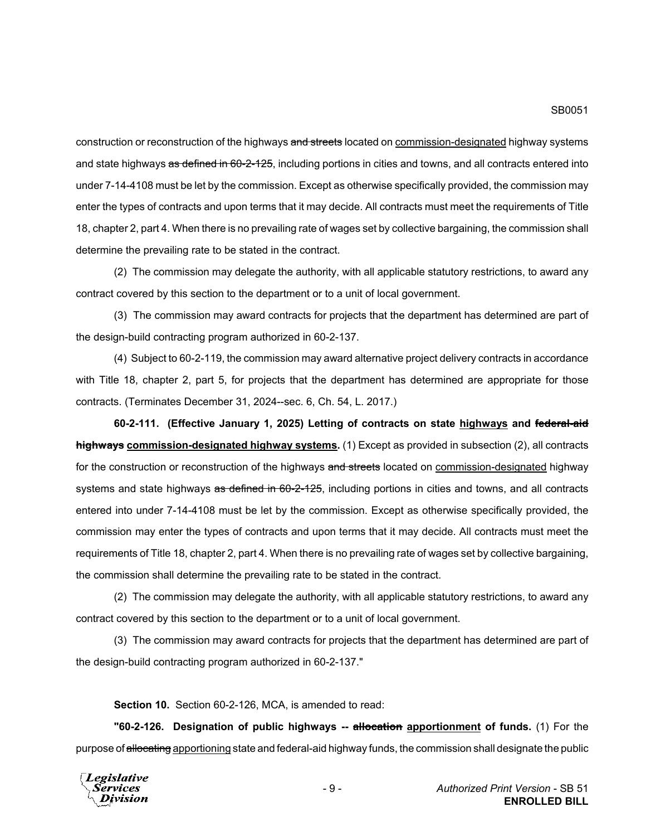construction or reconstruction of the highways and streets located on commission-designated highway systems and state highways as defined in 60-2-125, including portions in cities and towns, and all contracts entered into under 7-14-4108 must be let by the commission. Except as otherwise specifically provided, the commission may enter the types of contracts and upon terms that it may decide. All contracts must meet the requirements of Title 18, chapter 2, part 4. When there is no prevailing rate of wages set by collective bargaining, the commission shall determine the prevailing rate to be stated in the contract.

(2) The commission may delegate the authority, with all applicable statutory restrictions, to award any contract covered by this section to the department or to a unit of local government.

(3) The commission may award contracts for projects that the department has determined are part of the design-build contracting program authorized in 60-2-137.

(4) Subject to 60-2-119, the commission may award alternative project delivery contracts in accordance with Title 18, chapter 2, part 5, for projects that the department has determined are appropriate for those contracts. (Terminates December 31, 2024--sec. 6, Ch. 54, L. 2017.)

**60-2-111. (Effective January 1, 2025) Letting of contracts on state highways and federal-aid highways commission-designated highway systems.** (1) Except as provided in subsection (2), all contracts for the construction or reconstruction of the highways and streets located on commission-designated highway systems and state highways as defined in 60-2-125, including portions in cities and towns, and all contracts entered into under 7-14-4108 must be let by the commission. Except as otherwise specifically provided, the commission may enter the types of contracts and upon terms that it may decide. All contracts must meet the requirements of Title 18, chapter 2, part 4. When there is no prevailing rate of wages set by collective bargaining, the commission shall determine the prevailing rate to be stated in the contract.

(2) The commission may delegate the authority, with all applicable statutory restrictions, to award any contract covered by this section to the department or to a unit of local government.

(3) The commission may award contracts for projects that the department has determined are part of the design-build contracting program authorized in 60-2-137."

**Section 10.** Section 60-2-126, MCA, is amended to read:

**"60-2-126. Designation of public highways -- allocation apportionment of funds.** (1) For the purpose of allocating apportioning state and federal-aid highway funds, the commission shall designate the public

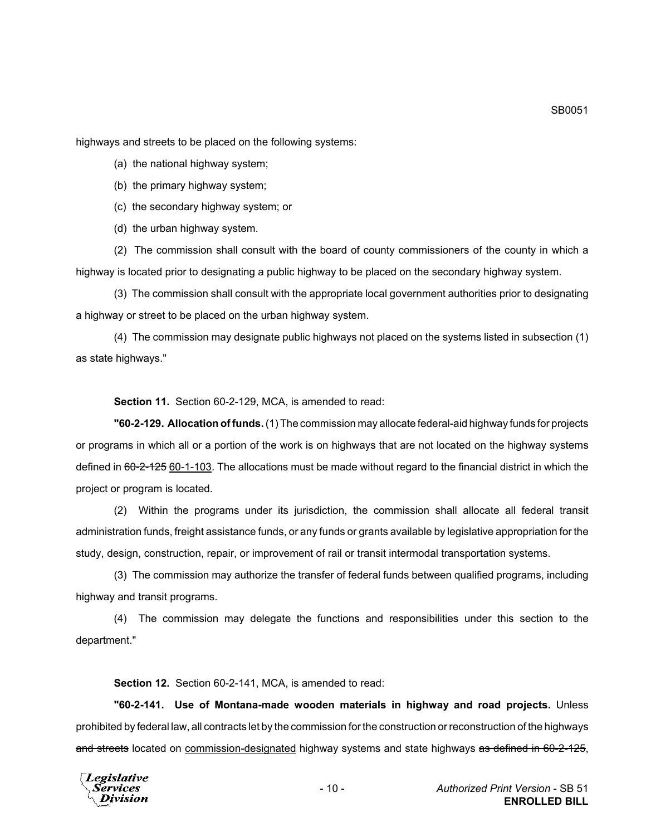highways and streets to be placed on the following systems:

(a) the national highway system;

(b) the primary highway system;

(c) the secondary highway system; or

(d) the urban highway system.

(2) The commission shall consult with the board of county commissioners of the county in which a highway is located prior to designating a public highway to be placed on the secondary highway system.

(3) The commission shall consult with the appropriate local government authorities prior to designating a highway or street to be placed on the urban highway system.

(4) The commission may designate public highways not placed on the systems listed in subsection (1) as state highways."

**Section 11.** Section 60-2-129, MCA, is amended to read:

**"60-2-129. Allocation of funds.** (1) The commission may allocate federal-aid highway funds for projects or programs in which all or a portion of the work is on highways that are not located on the highway systems defined in 60-2-125 60-1-103. The allocations must be made without regard to the financial district in which the project or program is located.

(2) Within the programs under its jurisdiction, the commission shall allocate all federal transit administration funds, freight assistance funds, or any funds or grants available by legislative appropriation for the study, design, construction, repair, or improvement of rail or transit intermodal transportation systems.

(3) The commission may authorize the transfer of federal funds between qualified programs, including highway and transit programs.

(4) The commission may delegate the functions and responsibilities under this section to the department."

**Section 12.** Section 60-2-141, MCA, is amended to read:

**"60-2-141. Use of Montana-made wooden materials in highway and road projects.** Unless prohibited by federal law, all contracts let by the commission for the construction or reconstruction of the highways and streets located on commission-designated highway systems and state highways as defined in 60-2-125,

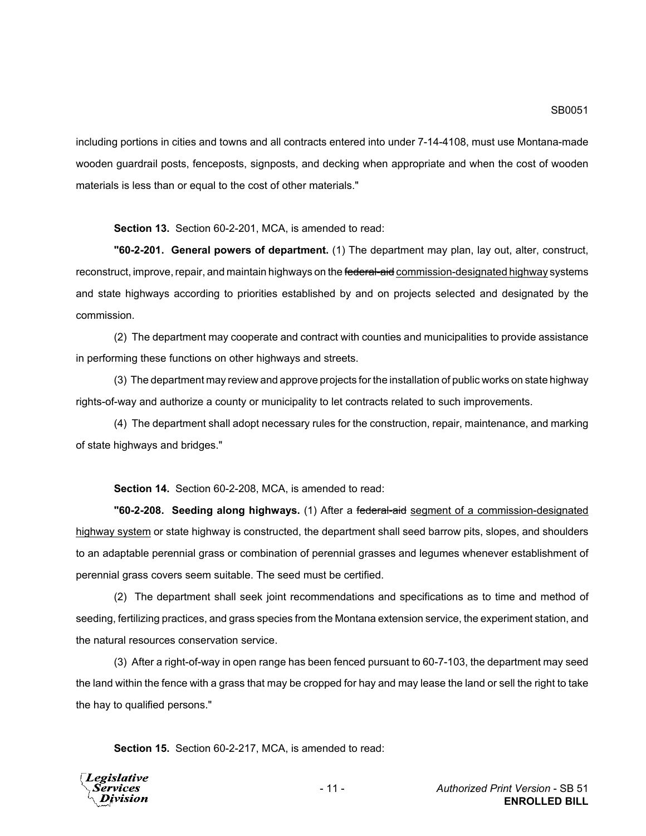including portions in cities and towns and all contracts entered into under 7-14-4108, must use Montana-made wooden guardrail posts, fenceposts, signposts, and decking when appropriate and when the cost of wooden materials is less than or equal to the cost of other materials."

**Section 13.** Section 60-2-201, MCA, is amended to read:

**"60-2-201. General powers of department.** (1) The department may plan, lay out, alter, construct, reconstruct, improve, repair, and maintain highways on the federal-aid commission-designated highway systems and state highways according to priorities established by and on projects selected and designated by the commission.

(2) The department may cooperate and contract with counties and municipalities to provide assistance in performing these functions on other highways and streets.

(3) The department may review and approve projects for the installation of public works on state highway rights-of-way and authorize a county or municipality to let contracts related to such improvements.

(4) The department shall adopt necessary rules for the construction, repair, maintenance, and marking of state highways and bridges."

**Section 14.** Section 60-2-208, MCA, is amended to read:

**"60-2-208. Seeding along highways.** (1) After a federal-aid segment of a commission-designated highway system or state highway is constructed, the department shall seed barrow pits, slopes, and shoulders to an adaptable perennial grass or combination of perennial grasses and legumes whenever establishment of perennial grass covers seem suitable. The seed must be certified.

(2) The department shall seek joint recommendations and specifications as to time and method of seeding, fertilizing practices, and grass species from the Montana extension service, the experiment station, and the natural resources conservation service.

(3) After a right-of-way in open range has been fenced pursuant to 60-7-103, the department may seed the land within the fence with a grass that may be cropped for hay and may lease the land or sell the right to take the hay to qualified persons."

**Section 15.** Section 60-2-217, MCA, is amended to read:

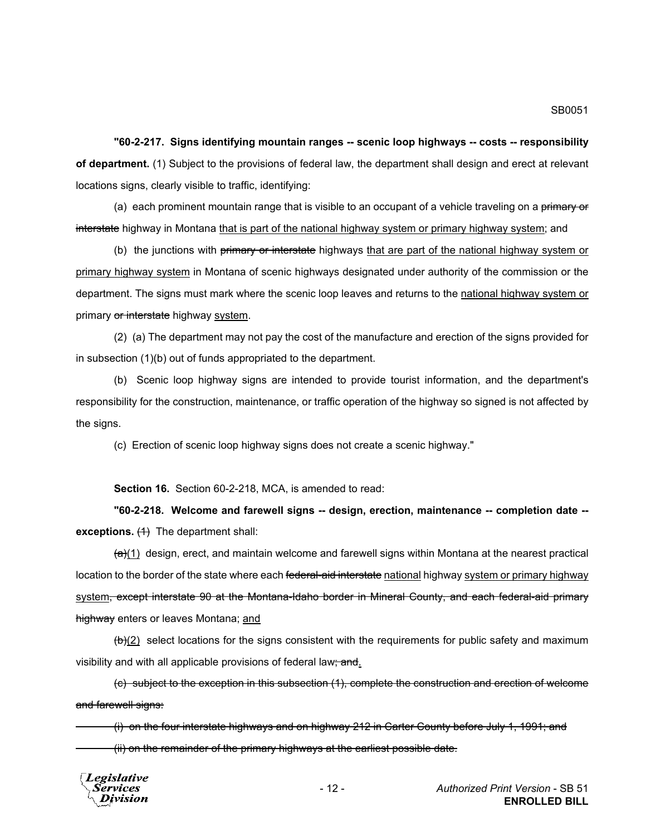**"60-2-217. Signs identifying mountain ranges -- scenic loop highways -- costs -- responsibility of department.** (1) Subject to the provisions of federal law, the department shall design and erect at relevant locations signs, clearly visible to traffic, identifying:

(a) each prominent mountain range that is visible to an occupant of a vehicle traveling on a primary or interstate highway in Montana that is part of the national highway system or primary highway system; and

(b) the junctions with primary or interstate highways that are part of the national highway system or primary highway system in Montana of scenic highways designated under authority of the commission or the department. The signs must mark where the scenic loop leaves and returns to the national highway system or primary or interstate highway system.

(2) (a) The department may not pay the cost of the manufacture and erection of the signs provided for in subsection (1)(b) out of funds appropriated to the department.

(b) Scenic loop highway signs are intended to provide tourist information, and the department's responsibility for the construction, maintenance, or traffic operation of the highway so signed is not affected by the signs.

(c) Erection of scenic loop highway signs does not create a scenic highway."

**Section 16.** Section 60-2-218, MCA, is amended to read:

**"60-2-218. Welcome and farewell signs -- design, erection, maintenance -- completion date - exceptions.** (4) The department shall:

 $\left(\frac{a}{c}\right)$  design, erect, and maintain welcome and farewell signs within Montana at the nearest practical location to the border of the state where each federal-aid interstate national highway system or primary highway system, except interstate 90 at the Montana-Idaho border in Mineral County, and each federal-aid primary highway enters or leaves Montana; and

 $(b)(2)$  select locations for the signs consistent with the requirements for public safety and maximum visibility and with all applicable provisions of federal law; and.

(c) subject to the exception in this subsection (1), complete the construction and erection of welcome and farewell signs:

(i) on the four interstate highways and on highway 212 in Carter County before July 1, 1991; and (ii) on the remainder of the primary highways at the earliest possible date.

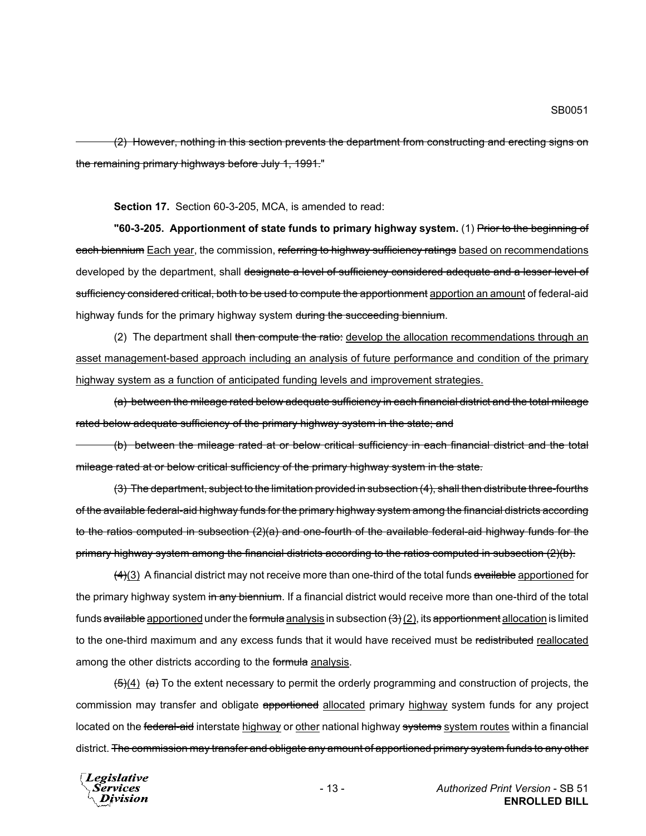(2) However, nothing in this section prevents the department from constructing and erecting signs on the remaining primary highways before July 1, 1991."

**Section 17.** Section 60-3-205, MCA, is amended to read:

**"60-3-205. Apportionment of state funds to primary highway system.** (1) Prior to the beginning of each biennium Each year, the commission, referring to highway sufficiency ratings based on recommendations developed by the department, shall designate a level of sufficiency considered adequate and a lesser level of sufficiency considered critical, both to be used to compute the apportionment apportion an amount of federal-aid highway funds for the primary highway system during the succeeding biennium.

(2) The department shall then compute the ratio: develop the allocation recommendations through an asset management-based approach including an analysis of future performance and condition of the primary highway system as a function of anticipated funding levels and improvement strategies.

(a) between the mileage rated below adequate sufficiency in each financial district and the total mileage rated below adequate sufficiency of the primary highway system in the state; and

(b) between the mileage rated at or below critical sufficiency in each financial district and the total mileage rated at or below critical sufficiency of the primary highway system in the state.

(3) The department, subject to the limitation provided in subsection (4), shall then distribute three-fourths of the available federal-aid highway funds for the primary highway system among the financial districts according to the ratios computed in subsection (2)(a) and one-fourth of the available federal-aid highway funds for the primary highway system among the financial districts according to the ratios computed in subsection (2)(b).

 $\frac{(4)(3)}{4}$  A financial district may not receive more than one-third of the total funds available apportioned for the primary highway system in any biennium. If a financial district would receive more than one-third of the total funds available apportioned under the formula analysis in subsection  $(3)(2)$ , its apportionment allocation is limited to the one-third maximum and any excess funds that it would have received must be redistributed reallocated among the other districts according to the formula analysis.

 $\left(\frac{5}{4}\right)$  (a) To the extent necessary to permit the orderly programming and construction of projects, the commission may transfer and obligate apportioned allocated primary highway system funds for any project located on the federal-aid interstate highway or other national highway systems system routes within a financial district. <del>The commission may transfer and obligate any amount of apportioned primary system funds to any other</del>

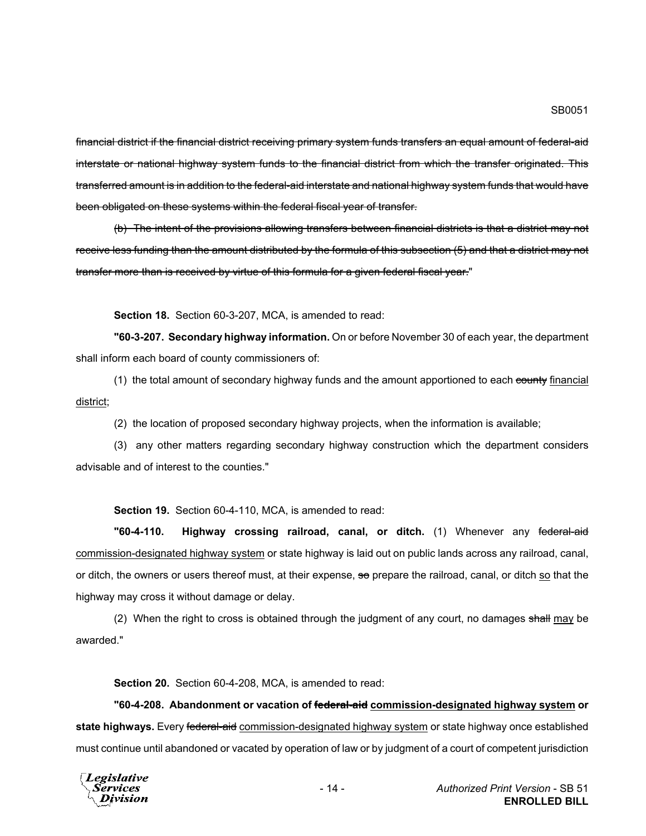financial district if the financial district receiving primary system funds transfers an equal amount of federal-aid interstate or national highway system funds to the financial district from which the transfer originated. This transferred amount is in addition to the federal-aid interstate and national highway system funds that would have been obligated on these systems within the federal fiscal year of transfer.

(b) The intent of the provisions allowing transfers between financial districts is that a district may not receive less funding than the amount distributed by the formula of this subsection (5) and that a district may not transfer more than is received by virtue of this formula for a given federal fiscal year."

**Section 18.** Section 60-3-207, MCA, is amended to read:

**"60-3-207. Secondary highway information.** On or before November 30 of each year, the department shall inform each board of county commissioners of:

(1) the total amount of secondary highway funds and the amount apportioned to each county financial district;

(2) the location of proposed secondary highway projects, when the information is available;

(3) any other matters regarding secondary highway construction which the department considers advisable and of interest to the counties."

**Section 19.** Section 60-4-110, MCA, is amended to read:

**"60-4-110. Highway crossing railroad, canal, or ditch.** (1) Whenever any federal-aid commission-designated highway system or state highway is laid out on public lands across any railroad, canal, or ditch, the owners or users thereof must, at their expense, so prepare the railroad, canal, or ditch so that the highway may cross it without damage or delay.

(2) When the right to cross is obtained through the judgment of any court, no damages shall may be awarded."

**Section 20.** Section 60-4-208, MCA, is amended to read:

**"60-4-208. Abandonment or vacation of federal-aid commission-designated highway system or state highways.** Every federal-aid commission-designated highway system or state highway once established must continue until abandoned or vacated by operation of law or by judgment of a court of competent jurisdiction

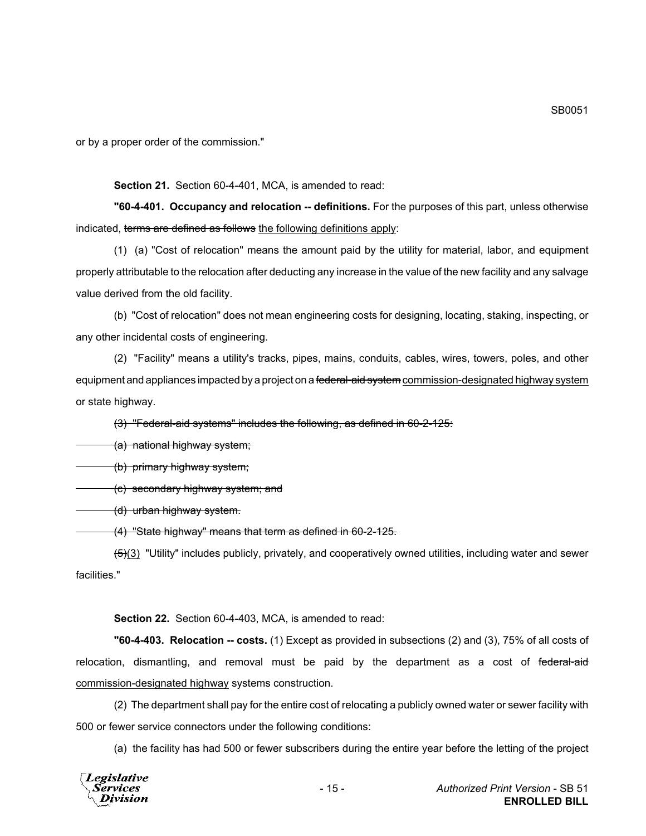or by a proper order of the commission."

#### **Section 21.** Section 60-4-401, MCA, is amended to read:

**"60-4-401. Occupancy and relocation -- definitions.** For the purposes of this part, unless otherwise indicated, terms are defined as follows the following definitions apply:

(1) (a) "Cost of relocation" means the amount paid by the utility for material, labor, and equipment properly attributable to the relocation after deducting any increase in the value of the new facility and any salvage value derived from the old facility.

(b) "Cost of relocation" does not mean engineering costs for designing, locating, staking, inspecting, or any other incidental costs of engineering.

(2) "Facility" means a utility's tracks, pipes, mains, conduits, cables, wires, towers, poles, and other equipment and appliances impacted by a project on a federal-aid system commission-designated highway system or state highway.

(3) "Federal-aid systems" includes the following, as defined in 60-2-125:

(a) national highway system;

(b) primary highway system;

(c) secondary highway system; and

(d) urban highway system.

(4) "State highway" means that term as defined in 60-2-125.

 $(5)(3)$  "Utility" includes publicly, privately, and cooperatively owned utilities, including water and sewer facilities."

**Section 22.** Section 60-4-403, MCA, is amended to read:

**"60-4-403. Relocation -- costs.** (1) Except as provided in subsections (2) and (3), 75% of all costs of relocation, dismantling, and removal must be paid by the department as a cost of federal-aid commission-designated highway systems construction.

(2) The department shall pay for the entire cost of relocating a publicly owned water or sewer facility with 500 or fewer service connectors under the following conditions:

(a) the facility has had 500 or fewer subscribers during the entire year before the letting of the project

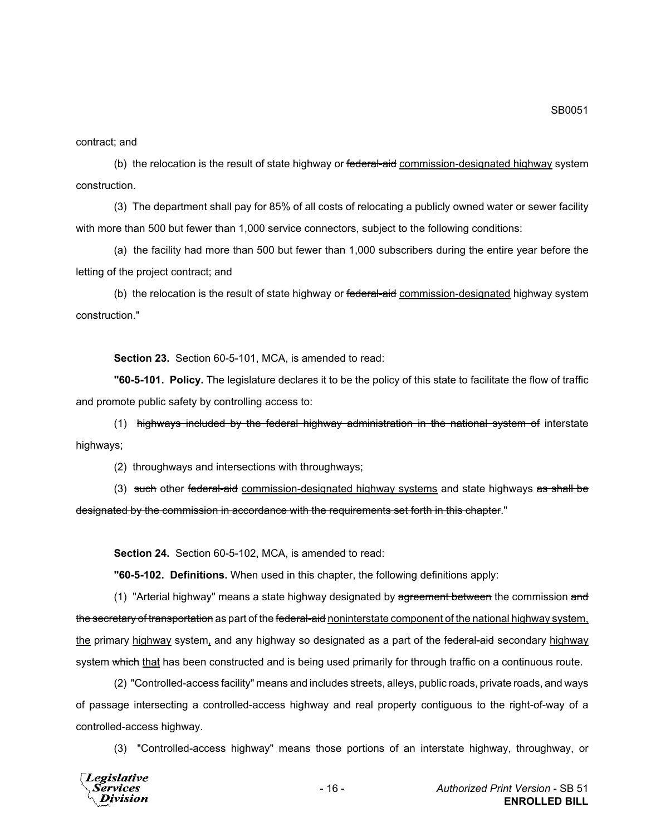contract; and

(b) the relocation is the result of state highway or federal-aid commission-designated highway system construction.

(3) The department shall pay for 85% of all costs of relocating a publicly owned water or sewer facility with more than 500 but fewer than 1,000 service connectors, subject to the following conditions:

(a) the facility had more than 500 but fewer than 1,000 subscribers during the entire year before the letting of the project contract; and

(b) the relocation is the result of state highway or federal-aid commission-designated highway system construction."

**Section 23.** Section 60-5-101, MCA, is amended to read:

**"60-5-101. Policy.** The legislature declares it to be the policy of this state to facilitate the flow of traffic and promote public safety by controlling access to:

(1) highways included by the federal highway administration in the national system of interstate highways;

(2) throughways and intersections with throughways;

(3) such other federal-aid commission-designated highway systems and state highways as shall be designated by the commission in accordance with the requirements set forth in this chapter."

**Section 24.** Section 60-5-102, MCA, is amended to read:

**"60-5-102. Definitions.** When used in this chapter, the following definitions apply:

(1) "Arterial highway" means a state highway designated by agreement between the commission and the secretary of transportation as part of the federal-aid noninterstate component of the national highway system, the primary highway system, and any highway so designated as a part of the federal-aid secondary highway system which that has been constructed and is being used primarily for through traffic on a continuous route.

(2) "Controlled-access facility" means and includes streets, alleys, public roads, private roads, and ways of passage intersecting a controlled-access highway and real property contiguous to the right-of-way of a controlled-access highway.

(3) "Controlled-access highway" means those portions of an interstate highway, throughway, or

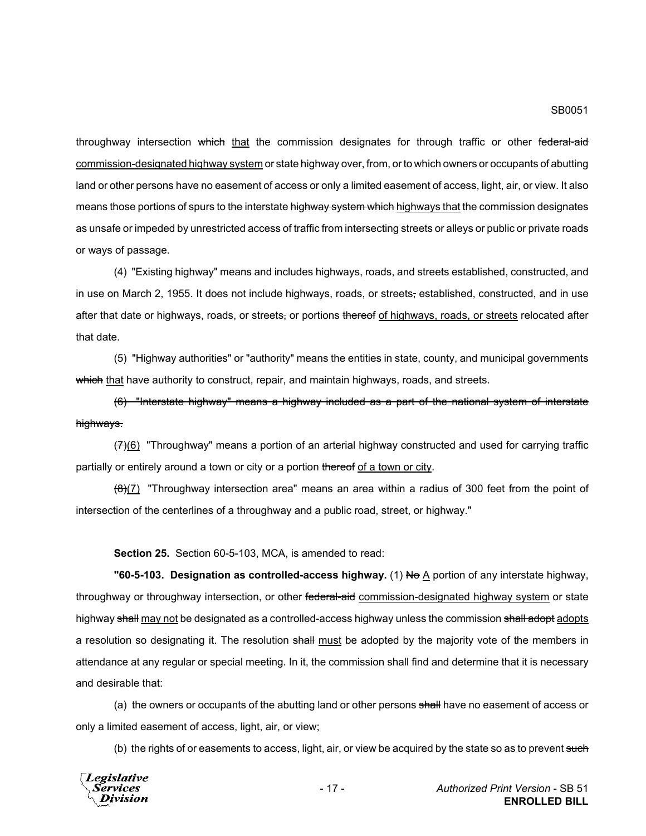throughway intersection which that the commission designates for through traffic or other federal-aid commission-designated highway system or state highway over, from, or to which owners or occupants of abutting land or other persons have no easement of access or only a limited easement of access, light, air, or view. It also means those portions of spurs to the interstate highway system which highways that the commission designates as unsafe or impeded by unrestricted access of traffic from intersecting streets or alleys or public or private roads or ways of passage.

(4) "Existing highway" means and includes highways, roads, and streets established, constructed, and in use on March 2, 1955. It does not include highways, roads, or streets, established, constructed, and in use after that date or highways, roads, or streets, or portions thereof of highways, roads, or streets relocated after that date.

(5) "Highway authorities" or "authority" means the entities in state, county, and municipal governments which that have authority to construct, repair, and maintain highways, roads, and streets.

(6) "Interstate highway" means a highway included as a part of the national system of interstate highways.

 $(7)(6)$  "Throughway" means a portion of an arterial highway constructed and used for carrying traffic partially or entirely around a town or city or a portion thereof of a town or city.

 $(8)(7)$  "Throughway intersection area" means an area within a radius of 300 feet from the point of intersection of the centerlines of a throughway and a public road, street, or highway."

**Section 25.** Section 60-5-103, MCA, is amended to read:

**"60-5-103. Designation as controlled-access highway.** (1) No A portion of any interstate highway, throughway or throughway intersection, or other federal-aid commission-designated highway system or state highway shall may not be designated as a controlled-access highway unless the commission shall adopt adopts a resolution so designating it. The resolution shall must be adopted by the majority vote of the members in attendance at any regular or special meeting. In it, the commission shall find and determine that it is necessary and desirable that:

(a) the owners or occupants of the abutting land or other persons shall have no easement of access or only a limited easement of access, light, air, or view;

(b) the rights of or easements to access, light, air, or view be acquired by the state so as to prevent such

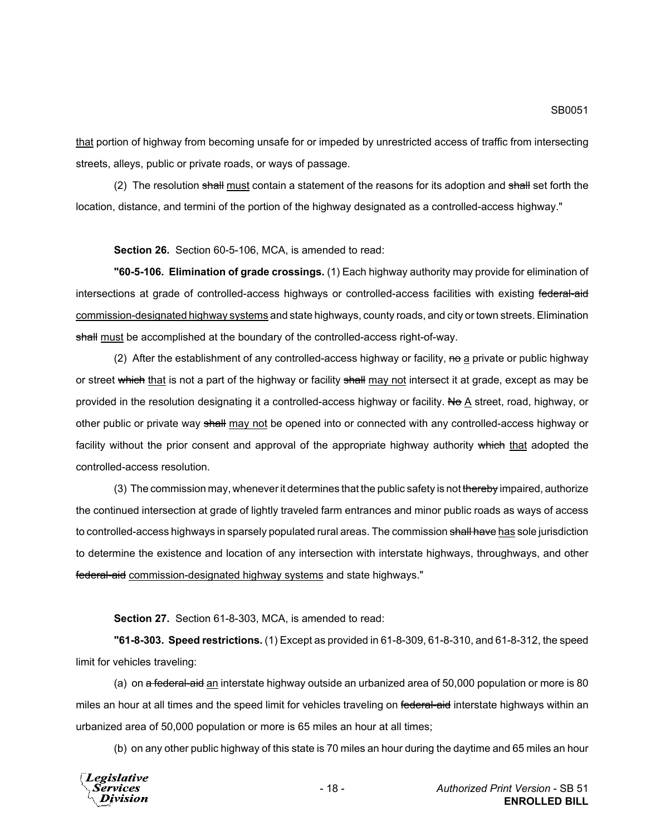SB0051

that portion of highway from becoming unsafe for or impeded by unrestricted access of traffic from intersecting streets, alleys, public or private roads, or ways of passage.

(2) The resolution shall must contain a statement of the reasons for its adoption and shall set forth the location, distance, and termini of the portion of the highway designated as a controlled-access highway."

**Section 26.** Section 60-5-106, MCA, is amended to read:

**"60-5-106. Elimination of grade crossings.** (1) Each highway authority may provide for elimination of intersections at grade of controlled-access highways or controlled-access facilities with existing federal-aid commission-designated highway systems and state highways, county roads, and city or town streets. Elimination shall must be accomplished at the boundary of the controlled-access right-of-way.

(2) After the establishment of any controlled-access highway or facility,  $m\theta$  a private or public highway or street which that is not a part of the highway or facility shall may not intersect it at grade, except as may be provided in the resolution designating it a controlled-access highway or facility. No A street, road, highway, or other public or private way shall may not be opened into or connected with any controlled-access highway or facility without the prior consent and approval of the appropriate highway authority which that adopted the controlled-access resolution.

(3) The commission may, whenever it determines that the public safety is not thereby impaired, authorize the continued intersection at grade of lightly traveled farm entrances and minor public roads as ways of access to controlled-access highways in sparsely populated rural areas. The commission shall have has sole jurisdiction to determine the existence and location of any intersection with interstate highways, throughways, and other federal-aid commission-designated highway systems and state highways."

**Section 27.** Section 61-8-303, MCA, is amended to read:

**"61-8-303. Speed restrictions.** (1) Except as provided in 61-8-309, 61-8-310, and 61-8-312, the speed limit for vehicles traveling:

(a) on a federal-aid an interstate highway outside an urbanized area of 50,000 population or more is 80 miles an hour at all times and the speed limit for vehicles traveling on federal-aid interstate highways within an urbanized area of 50,000 population or more is 65 miles an hour at all times;

(b) on any other public highway of this state is 70 miles an hour during the daytime and 65 miles an hour

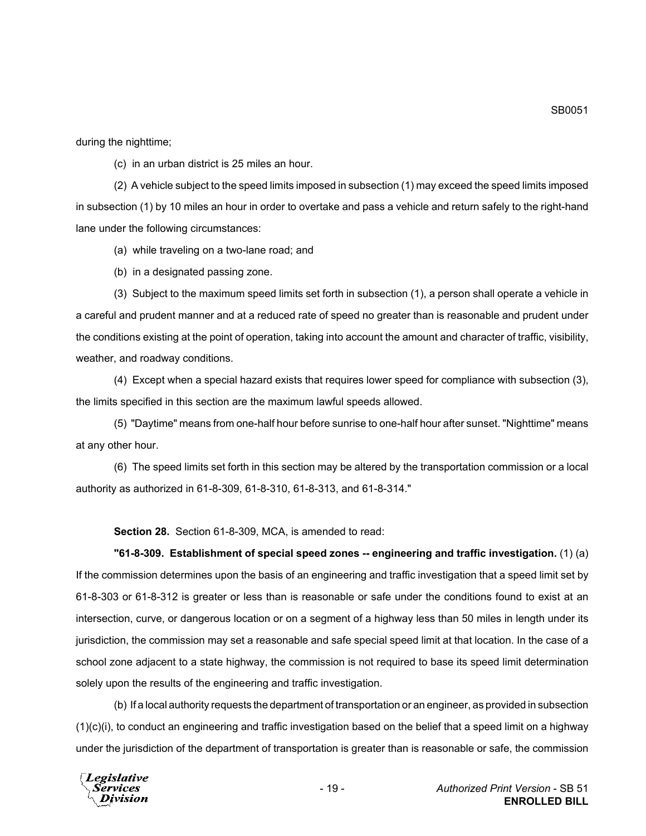during the nighttime;

(c) in an urban district is 25 miles an hour.

(2) A vehicle subject to the speed limits imposed in subsection (1) may exceed the speed limits imposed in subsection (1) by 10 miles an hour in order to overtake and pass a vehicle and return safely to the right-hand lane under the following circumstances:

(a) while traveling on a two-lane road; and

(b) in a designated passing zone.

(3) Subject to the maximum speed limits set forth in subsection (1), a person shall operate a vehicle in a careful and prudent manner and at a reduced rate of speed no greater than is reasonable and prudent under the conditions existing at the point of operation, taking into account the amount and character of traffic, visibility, weather, and roadway conditions.

(4) Except when a special hazard exists that requires lower speed for compliance with subsection (3), the limits specified in this section are the maximum lawful speeds allowed.

(5) "Daytime" means from one-half hour before sunrise to one-half hour after sunset. "Nighttime" means at any other hour.

(6) The speed limits set forth in this section may be altered by the transportation commission or a local authority as authorized in 61-8-309, 61-8-310, 61-8-313, and 61-8-314."

**Section 28.** Section 61-8-309, MCA, is amended to read:

## **"61-8-309. Establishment of special speed zones -- engineering and traffic investigation.** (1) (a) If the commission determines upon the basis of an engineering and traffic investigation that a speed limit set by 61-8-303 or 61-8-312 is greater or less than is reasonable or safe under the conditions found to exist at an intersection, curve, or dangerous location or on a segment of a highway less than 50 miles in length under its jurisdiction, the commission may set a reasonable and safe special speed limit at that location. In the case of a school zone adjacent to a state highway, the commission is not required to base its speed limit determination solely upon the results of the engineering and traffic investigation.

(b) If a local authority requests the department of transportation or an engineer, as provided in subsection  $(1)(c)(i)$ , to conduct an engineering and traffic investigation based on the belief that a speed limit on a highway under the jurisdiction of the department of transportation is greater than is reasonable or safe, the commission



SB0051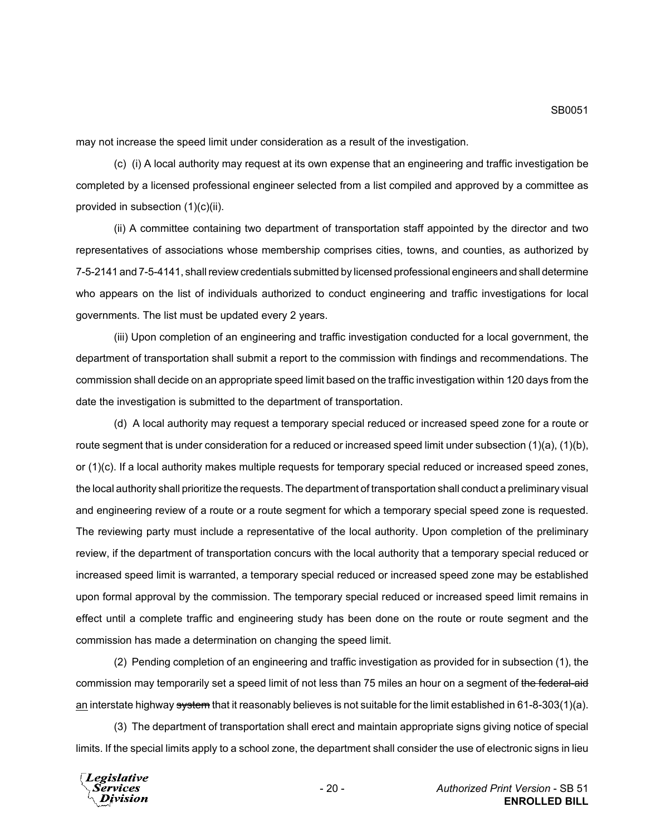may not increase the speed limit under consideration as a result of the investigation.

(c) (i) A local authority may request at its own expense that an engineering and traffic investigation be completed by a licensed professional engineer selected from a list compiled and approved by a committee as provided in subsection (1)(c)(ii).

(ii) A committee containing two department of transportation staff appointed by the director and two representatives of associations whose membership comprises cities, towns, and counties, as authorized by 7-5-2141 and 7-5-4141, shall review credentials submitted by licensed professional engineers and shall determine who appears on the list of individuals authorized to conduct engineering and traffic investigations for local governments. The list must be updated every 2 years.

(iii) Upon completion of an engineering and traffic investigation conducted for a local government, the department of transportation shall submit a report to the commission with findings and recommendations. The commission shall decide on an appropriate speed limit based on the traffic investigation within 120 days from the date the investigation is submitted to the department of transportation.

(d) A local authority may request a temporary special reduced or increased speed zone for a route or route segment that is under consideration for a reduced or increased speed limit under subsection (1)(a), (1)(b), or (1)(c). If a local authority makes multiple requests for temporary special reduced or increased speed zones, the local authority shall prioritize the requests. The department of transportation shall conduct a preliminary visual and engineering review of a route or a route segment for which a temporary special speed zone is requested. The reviewing party must include a representative of the local authority. Upon completion of the preliminary review, if the department of transportation concurs with the local authority that a temporary special reduced or increased speed limit is warranted, a temporary special reduced or increased speed zone may be established upon formal approval by the commission. The temporary special reduced or increased speed limit remains in effect until a complete traffic and engineering study has been done on the route or route segment and the commission has made a determination on changing the speed limit.

(2) Pending completion of an engineering and traffic investigation as provided for in subsection (1), the commission may temporarily set a speed limit of not less than 75 miles an hour on a segment of the federal-aid an interstate highway system that it reasonably believes is not suitable for the limit established in 61-8-303(1)(a).

(3) The department of transportation shall erect and maintain appropriate signs giving notice of special limits. If the special limits apply to a school zone, the department shall consider the use of electronic signs in lieu

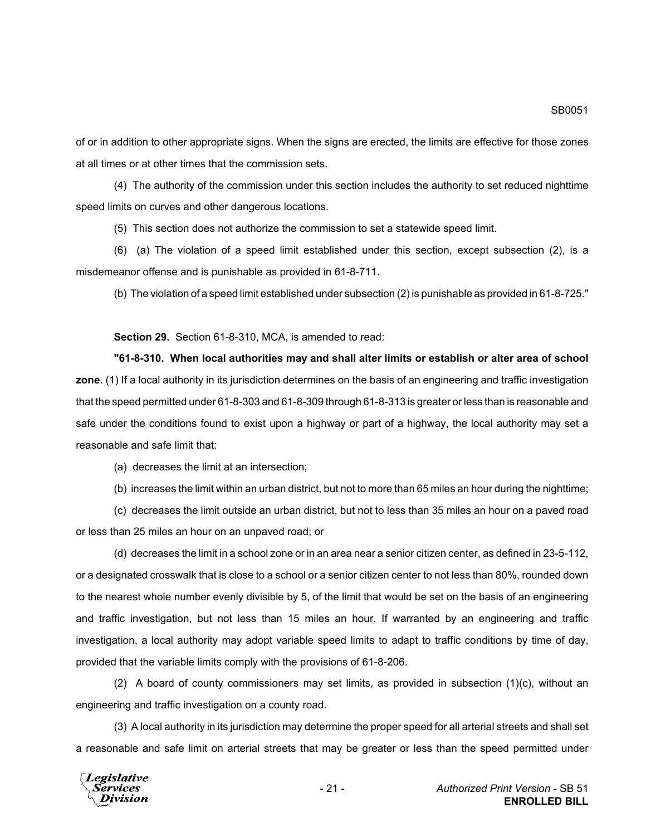of or in addition to other appropriate signs. When the signs are erected, the limits are effective for those zones at all times or at other times that the commission sets.

(4) The authority of the commission under this section includes the authority to set reduced nighttime speed limits on curves and other dangerous locations.

(5) This section does not authorize the commission to set a statewide speed limit.

(6) (a) The violation of a speed limit established under this section, except subsection (2), is a misdemeanor offense and is punishable as provided in 61-8-711.

(b) The violation of a speed limit established under subsection (2) is punishable as provided in 61-8-725."

**Section 29.** Section 61-8-310, MCA, is amended to read:

**"61-8-310. When local authorities may and shall alter limits or establish or alter area of school zone.** (1) If a local authority in its jurisdiction determines on the basis of an engineering and traffic investigation that the speed permitted under 61-8-303 and 61-8-309 through 61-8-313 is greater or less than is reasonable and safe under the conditions found to exist upon a highway or part of a highway, the local authority may set a reasonable and safe limit that:

(a) decreases the limit at an intersection;

(b) increases the limit within an urban district, but not to more than 65 miles an hour during the nighttime;

(c) decreases the limit outside an urban district, but not to less than 35 miles an hour on a paved road or less than 25 miles an hour on an unpaved road; or

(d) decreases the limit in a school zone or in an area near a senior citizen center, as defined in 23-5-112, or a designated crosswalk that is close to a school or a senior citizen center to not less than 80%, rounded down to the nearest whole number evenly divisible by 5, of the limit that would be set on the basis of an engineering and traffic investigation, but not less than 15 miles an hour. If warranted by an engineering and traffic investigation, a local authority may adopt variable speed limits to adapt to traffic conditions by time of day, provided that the variable limits comply with the provisions of 61-8-206.

(2) A board of county commissioners may set limits, as provided in subsection (1)(c), without an engineering and traffic investigation on a county road.

(3) A local authority in its jurisdiction may determine the proper speed for all arterial streets and shall set a reasonable and safe limit on arterial streets that may be greater or less than the speed permitted under

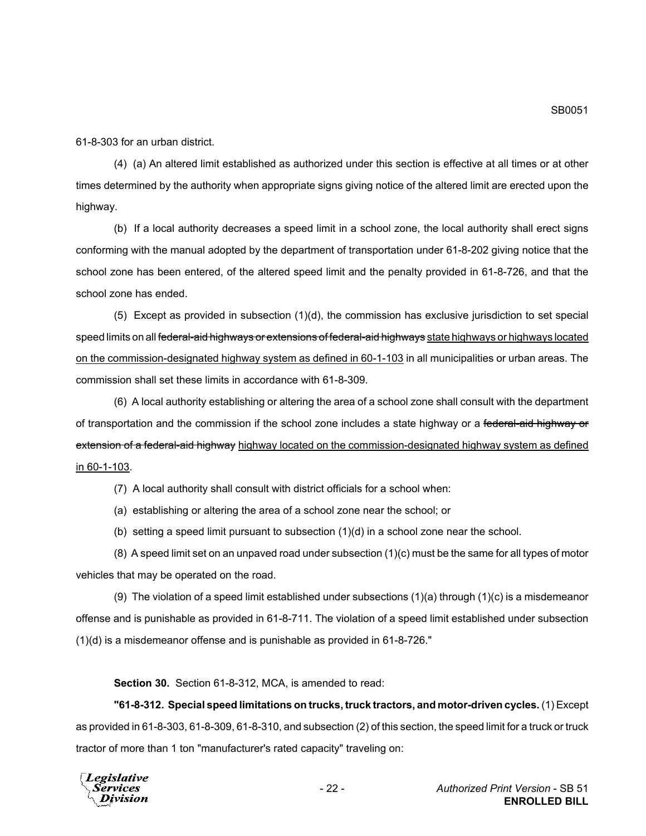61-8-303 for an urban district.

(4) (a) An altered limit established as authorized under this section is effective at all times or at other times determined by the authority when appropriate signs giving notice of the altered limit are erected upon the highway.

(b) If a local authority decreases a speed limit in a school zone, the local authority shall erect signs conforming with the manual adopted by the department of transportation under 61-8-202 giving notice that the school zone has been entered, of the altered speed limit and the penalty provided in 61-8-726, and that the school zone has ended.

(5) Except as provided in subsection (1)(d), the commission has exclusive jurisdiction to set special speed limits on all <del>federal-aid highways or extensions of federal-aid highways</del> state highways or highways located on the commission-designated highway system as defined in 60-1-103 in all municipalities or urban areas. The commission shall set these limits in accordance with 61-8-309.

(6) A local authority establishing or altering the area of a school zone shall consult with the department of transportation and the commission if the school zone includes a state highway or a federal-aid highway or extension of a federal-aid highway highway located on the commission-designated highway system as defined in 60-1-103.

(7) A local authority shall consult with district officials for a school when:

(a) establishing or altering the area of a school zone near the school; or

(b) setting a speed limit pursuant to subsection (1)(d) in a school zone near the school.

(8) A speed limit set on an unpaved road under subsection (1)(c) must be the same for all types of motor vehicles that may be operated on the road.

(9) The violation of a speed limit established under subsections (1)(a) through (1)(c) is a misdemeanor offense and is punishable as provided in 61-8-711. The violation of a speed limit established under subsection (1)(d) is a misdemeanor offense and is punishable as provided in 61-8-726."

**Section 30.** Section 61-8-312, MCA, is amended to read:

**"61-8-312. Special speed limitations on trucks, truck tractors, and motor-driven cycles.** (1) Except as provided in 61-8-303, 61-8-309, 61-8-310, and subsection (2) of this section, the speed limit for a truck or truck tractor of more than 1 ton "manufacturer's rated capacity" traveling on:

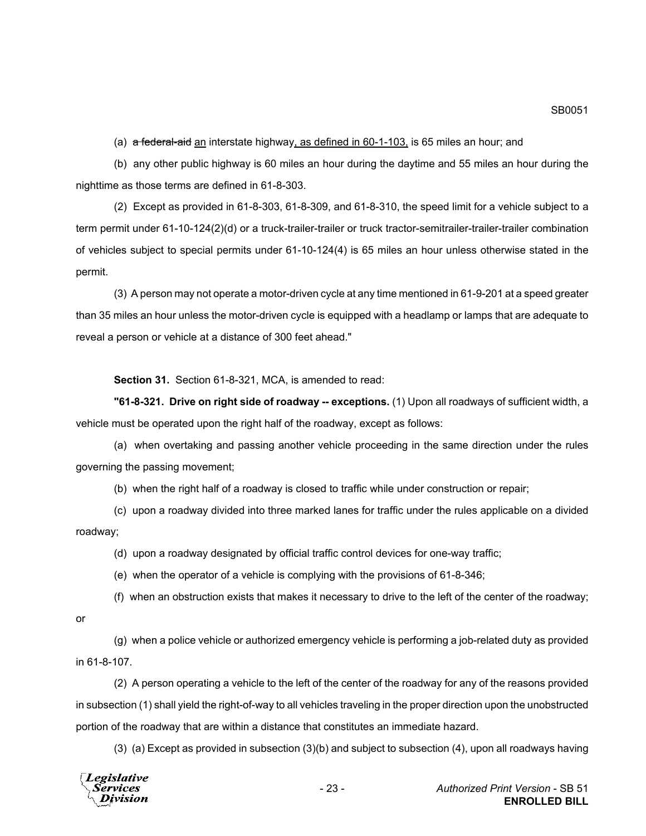(a)  $\sigma$  federal-aid an interstate highway, as defined in 60-1-103, is 65 miles an hour; and

(b) any other public highway is 60 miles an hour during the daytime and 55 miles an hour during the nighttime as those terms are defined in 61-8-303.

(2) Except as provided in 61-8-303, 61-8-309, and 61-8-310, the speed limit for a vehicle subject to a term permit under 61-10-124(2)(d) or a truck-trailer-trailer or truck tractor-semitrailer-trailer-trailer combination of vehicles subject to special permits under 61-10-124(4) is 65 miles an hour unless otherwise stated in the permit.

(3) A person may not operate a motor-driven cycle at any time mentioned in 61-9-201 at a speed greater than 35 miles an hour unless the motor-driven cycle is equipped with a headlamp or lamps that are adequate to reveal a person or vehicle at a distance of 300 feet ahead."

**Section 31.** Section 61-8-321, MCA, is amended to read:

**"61-8-321. Drive on right side of roadway -- exceptions.** (1) Upon all roadways of sufficient width, a vehicle must be operated upon the right half of the roadway, except as follows:

(a) when overtaking and passing another vehicle proceeding in the same direction under the rules governing the passing movement;

(b) when the right half of a roadway is closed to traffic while under construction or repair;

(c) upon a roadway divided into three marked lanes for traffic under the rules applicable on a divided roadway;

(d) upon a roadway designated by official traffic control devices for one-way traffic;

(e) when the operator of a vehicle is complying with the provisions of 61-8-346;

(f) when an obstruction exists that makes it necessary to drive to the left of the center of the roadway;

or

(g) when a police vehicle or authorized emergency vehicle is performing a job-related duty as provided in 61-8-107.

(2) A person operating a vehicle to the left of the center of the roadway for any of the reasons provided in subsection (1) shall yield the right-of-way to all vehicles traveling in the proper direction upon the unobstructed portion of the roadway that are within a distance that constitutes an immediate hazard.

(3) (a) Except as provided in subsection (3)(b) and subject to subsection (4), upon all roadways having



SB0051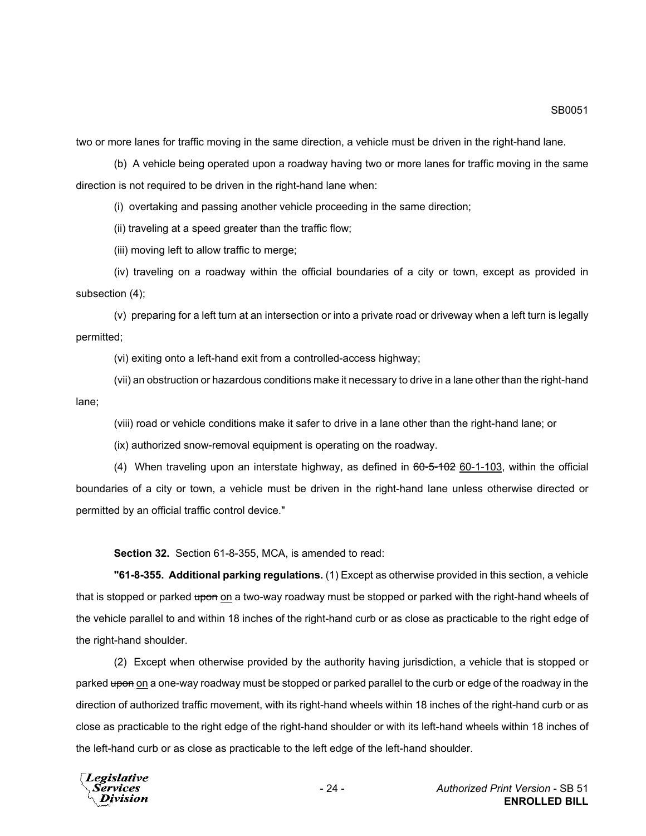SB0051

two or more lanes for traffic moving in the same direction, a vehicle must be driven in the right-hand lane.

(b) A vehicle being operated upon a roadway having two or more lanes for traffic moving in the same direction is not required to be driven in the right-hand lane when:

(i) overtaking and passing another vehicle proceeding in the same direction;

(ii) traveling at a speed greater than the traffic flow;

(iii) moving left to allow traffic to merge;

(iv) traveling on a roadway within the official boundaries of a city or town, except as provided in subsection (4);

(v) preparing for a left turn at an intersection or into a private road or driveway when a left turn is legally permitted;

(vi) exiting onto a left-hand exit from a controlled-access highway;

(vii) an obstruction or hazardous conditions make it necessary to drive in a lane other than the right-hand lane;

(viii) road or vehicle conditions make it safer to drive in a lane other than the right-hand lane; or

(ix) authorized snow-removal equipment is operating on the roadway.

(4) When traveling upon an interstate highway, as defined in  $60-5-102$  60-1-103, within the official boundaries of a city or town, a vehicle must be driven in the right-hand lane unless otherwise directed or permitted by an official traffic control device."

**Section 32.** Section 61-8-355, MCA, is amended to read:

**"61-8-355. Additional parking regulations.** (1) Except as otherwise provided in this section, a vehicle that is stopped or parked upon on a two-way roadway must be stopped or parked with the right-hand wheels of the vehicle parallel to and within 18 inches of the right-hand curb or as close as practicable to the right edge of the right-hand shoulder.

(2) Except when otherwise provided by the authority having jurisdiction, a vehicle that is stopped or parked upon on a one-way roadway must be stopped or parked parallel to the curb or edge of the roadway in the direction of authorized traffic movement, with its right-hand wheels within 18 inches of the right-hand curb or as close as practicable to the right edge of the right-hand shoulder or with its left-hand wheels within 18 inches of the left-hand curb or as close as practicable to the left edge of the left-hand shoulder.

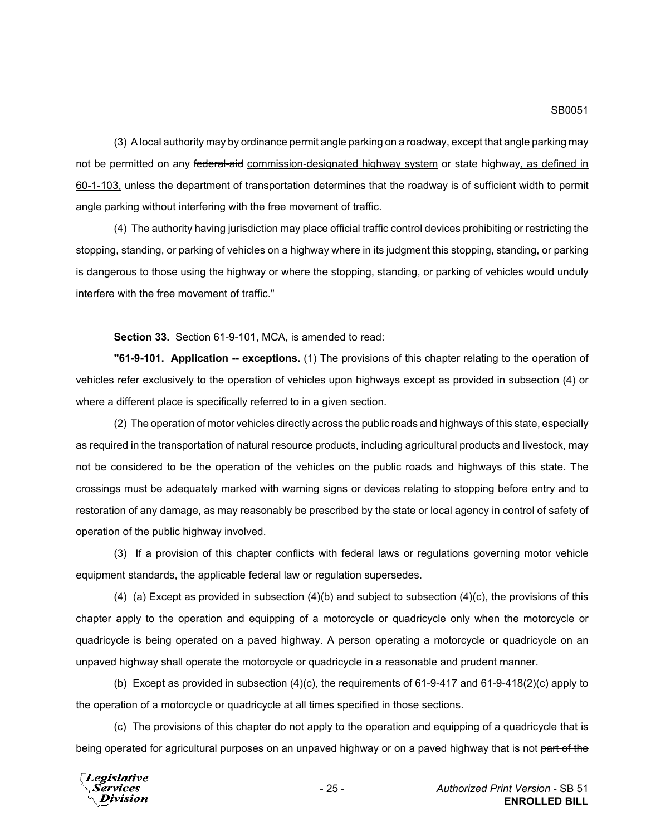(3) A local authority may by ordinance permit angle parking on a roadway, except that angle parking may not be permitted on any federal-aid commission-designated highway system or state highway, as defined in 60-1-103, unless the department of transportation determines that the roadway is of sufficient width to permit angle parking without interfering with the free movement of traffic.

(4) The authority having jurisdiction may place official traffic control devices prohibiting or restricting the stopping, standing, or parking of vehicles on a highway where in its judgment this stopping, standing, or parking is dangerous to those using the highway or where the stopping, standing, or parking of vehicles would unduly interfere with the free movement of traffic."

**Section 33.** Section 61-9-101, MCA, is amended to read:

**"61-9-101. Application -- exceptions.** (1) The provisions of this chapter relating to the operation of vehicles refer exclusively to the operation of vehicles upon highways except as provided in subsection (4) or where a different place is specifically referred to in a given section.

(2) The operation of motor vehicles directly across the public roads and highways of this state, especially as required in the transportation of natural resource products, including agricultural products and livestock, may not be considered to be the operation of the vehicles on the public roads and highways of this state. The crossings must be adequately marked with warning signs or devices relating to stopping before entry and to restoration of any damage, as may reasonably be prescribed by the state or local agency in control of safety of operation of the public highway involved.

(3) If a provision of this chapter conflicts with federal laws or regulations governing motor vehicle equipment standards, the applicable federal law or regulation supersedes.

(4) (a) Except as provided in subsection  $(4)(b)$  and subject to subsection  $(4)(c)$ , the provisions of this chapter apply to the operation and equipping of a motorcycle or quadricycle only when the motorcycle or quadricycle is being operated on a paved highway. A person operating a motorcycle or quadricycle on an unpaved highway shall operate the motorcycle or quadricycle in a reasonable and prudent manner.

(b) Except as provided in subsection (4)(c), the requirements of 61-9-417 and 61-9-418(2)(c) apply to the operation of a motorcycle or quadricycle at all times specified in those sections.

(c) The provisions of this chapter do not apply to the operation and equipping of a quadricycle that is being operated for agricultural purposes on an unpaved highway or on a paved highway that is not part of the

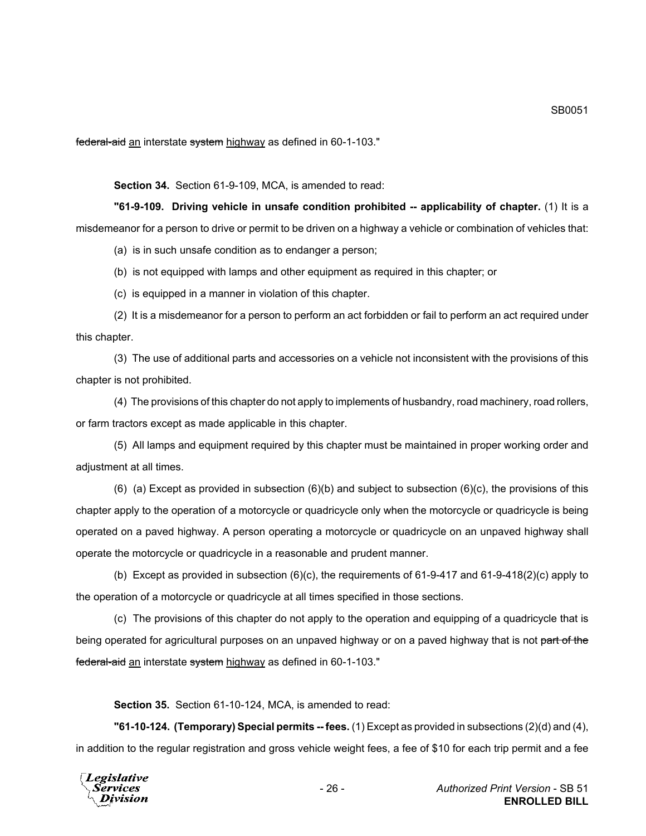federal-aid an interstate system highway as defined in 60-1-103."

**Section 34.** Section 61-9-109, MCA, is amended to read:

**"61-9-109. Driving vehicle in unsafe condition prohibited -- applicability of chapter.** (1) It is a misdemeanor for a person to drive or permit to be driven on a highway a vehicle or combination of vehicles that:

(a) is in such unsafe condition as to endanger a person;

(b) is not equipped with lamps and other equipment as required in this chapter; or

(c) is equipped in a manner in violation of this chapter.

(2) It is a misdemeanor for a person to perform an act forbidden or fail to perform an act required under this chapter.

(3) The use of additional parts and accessories on a vehicle not inconsistent with the provisions of this chapter is not prohibited.

(4) The provisions of this chapter do not apply to implements of husbandry, road machinery, road rollers, or farm tractors except as made applicable in this chapter.

(5) All lamps and equipment required by this chapter must be maintained in proper working order and adjustment at all times.

(6) (a) Except as provided in subsection  $(6)(b)$  and subject to subsection  $(6)(c)$ , the provisions of this chapter apply to the operation of a motorcycle or quadricycle only when the motorcycle or quadricycle is being operated on a paved highway. A person operating a motorcycle or quadricycle on an unpaved highway shall operate the motorcycle or quadricycle in a reasonable and prudent manner.

(b) Except as provided in subsection (6)(c), the requirements of 61-9-417 and 61-9-418(2)(c) apply to the operation of a motorcycle or quadricycle at all times specified in those sections.

(c) The provisions of this chapter do not apply to the operation and equipping of a quadricycle that is being operated for agricultural purposes on an unpaved highway or on a paved highway that is not part of the federal-aid an interstate system highway as defined in 60-1-103."

**Section 35.** Section 61-10-124, MCA, is amended to read:

**"61-10-124. (Temporary) Special permits -- fees.** (1) Except as provided in subsections (2)(d) and (4), in addition to the regular registration and gross vehicle weight fees, a fee of \$10 for each trip permit and a fee

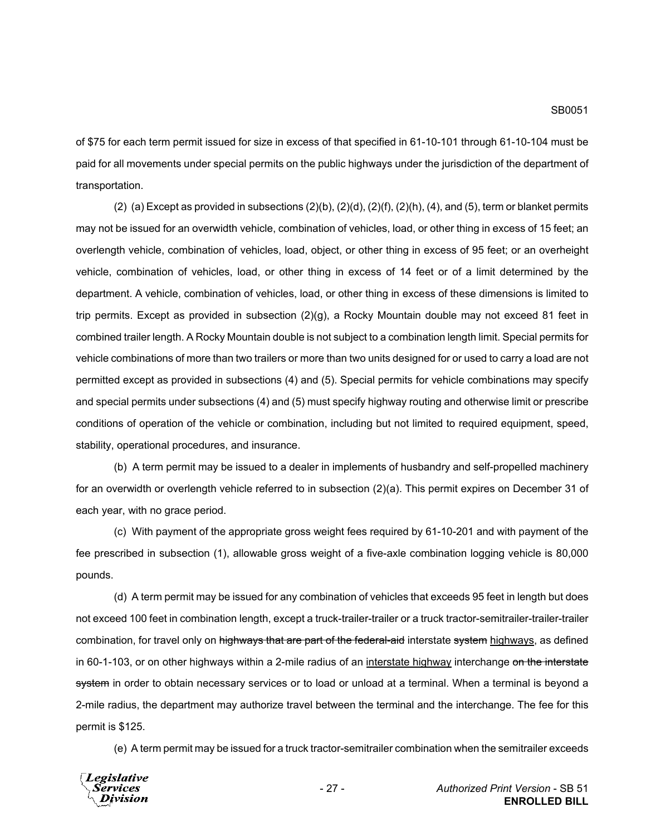of \$75 for each term permit issued for size in excess of that specified in 61-10-101 through 61-10-104 must be paid for all movements under special permits on the public highways under the jurisdiction of the department of transportation.

(2) (a) Except as provided in subsections  $(2)(b)$ ,  $(2)(d)$ ,  $(2)(f)$ ,  $(2)(h)$ ,  $(4)$ , and  $(5)$ , term or blanket permits may not be issued for an overwidth vehicle, combination of vehicles, load, or other thing in excess of 15 feet; an overlength vehicle, combination of vehicles, load, object, or other thing in excess of 95 feet; or an overheight vehicle, combination of vehicles, load, or other thing in excess of 14 feet or of a limit determined by the department. A vehicle, combination of vehicles, load, or other thing in excess of these dimensions is limited to trip permits. Except as provided in subsection (2)(g), a Rocky Mountain double may not exceed 81 feet in combined trailer length. A Rocky Mountain double is not subject to a combination length limit. Special permits for vehicle combinations of more than two trailers or more than two units designed for or used to carry a load are not permitted except as provided in subsections (4) and (5). Special permits for vehicle combinations may specify and special permits under subsections (4) and (5) must specify highway routing and otherwise limit or prescribe conditions of operation of the vehicle or combination, including but not limited to required equipment, speed, stability, operational procedures, and insurance.

(b) A term permit may be issued to a dealer in implements of husbandry and self-propelled machinery for an overwidth or overlength vehicle referred to in subsection (2)(a). This permit expires on December 31 of each year, with no grace period.

(c) With payment of the appropriate gross weight fees required by 61-10-201 and with payment of the fee prescribed in subsection (1), allowable gross weight of a five-axle combination logging vehicle is 80,000 pounds.

(d) A term permit may be issued for any combination of vehicles that exceeds 95 feet in length but does not exceed 100 feet in combination length, except a truck-trailer-trailer or a truck tractor-semitrailer-trailer-trailer combination, for travel only on highways that are part of the federal-aid interstate system highways, as defined in 60-1-103, or on other highways within a 2-mile radius of an interstate highway interchange on the interstate system in order to obtain necessary services or to load or unload at a terminal. When a terminal is beyond a 2-mile radius, the department may authorize travel between the terminal and the interchange. The fee for this permit is \$125.

(e) A term permit may be issued for a truck tractor-semitrailer combination when the semitrailer exceeds

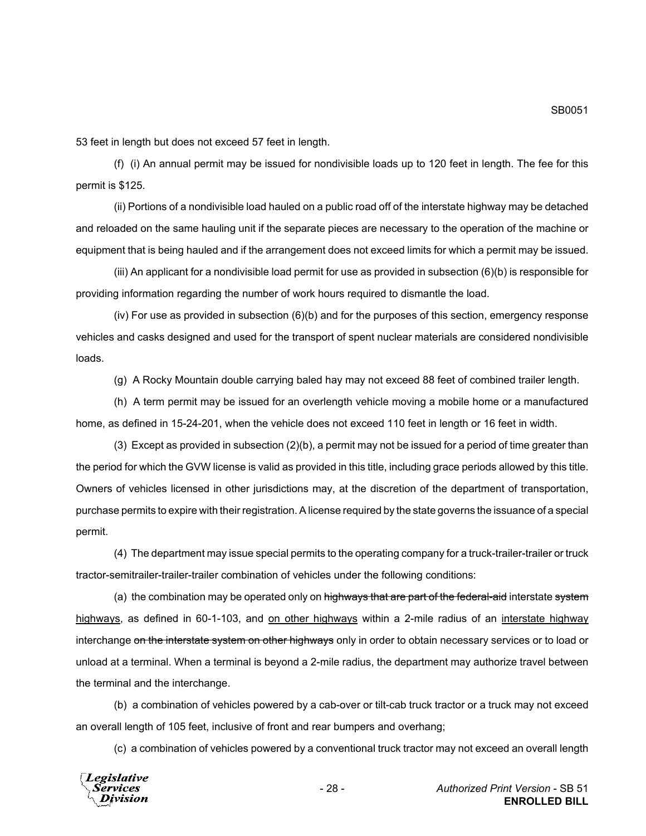53 feet in length but does not exceed 57 feet in length.

(f) (i) An annual permit may be issued for nondivisible loads up to 120 feet in length. The fee for this permit is \$125.

(ii) Portions of a nondivisible load hauled on a public road off of the interstate highway may be detached and reloaded on the same hauling unit if the separate pieces are necessary to the operation of the machine or equipment that is being hauled and if the arrangement does not exceed limits for which a permit may be issued.

(iii) An applicant for a nondivisible load permit for use as provided in subsection (6)(b) is responsible for providing information regarding the number of work hours required to dismantle the load.

 $(iv)$  For use as provided in subsection  $(6)(b)$  and for the purposes of this section, emergency response vehicles and casks designed and used for the transport of spent nuclear materials are considered nondivisible loads.

(g) A Rocky Mountain double carrying baled hay may not exceed 88 feet of combined trailer length.

(h) A term permit may be issued for an overlength vehicle moving a mobile home or a manufactured home, as defined in 15-24-201, when the vehicle does not exceed 110 feet in length or 16 feet in width.

(3) Except as provided in subsection (2)(b), a permit may not be issued for a period of time greater than the period for which the GVW license is valid as provided in this title, including grace periods allowed by this title. Owners of vehicles licensed in other jurisdictions may, at the discretion of the department of transportation, purchase permits to expire with their registration. A license required by the state governs the issuance of a special permit.

(4) The department may issue special permits to the operating company for a truck-trailer-trailer or truck tractor-semitrailer-trailer-trailer combination of vehicles under the following conditions:

(a) the combination may be operated only on highways that are part of the federal-aid interstate system highways, as defined in 60-1-103, and on other highways within a 2-mile radius of an interstate highway interchange on the interstate system on other highways only in order to obtain necessary services or to load or unload at a terminal. When a terminal is beyond a 2-mile radius, the department may authorize travel between the terminal and the interchange.

(b) a combination of vehicles powered by a cab-over or tilt-cab truck tractor or a truck may not exceed an overall length of 105 feet, inclusive of front and rear bumpers and overhang;

(c) a combination of vehicles powered by a conventional truck tractor may not exceed an overall length



- 28 - *Authorized Print Version* - SB 51 **ENROLLED BILL**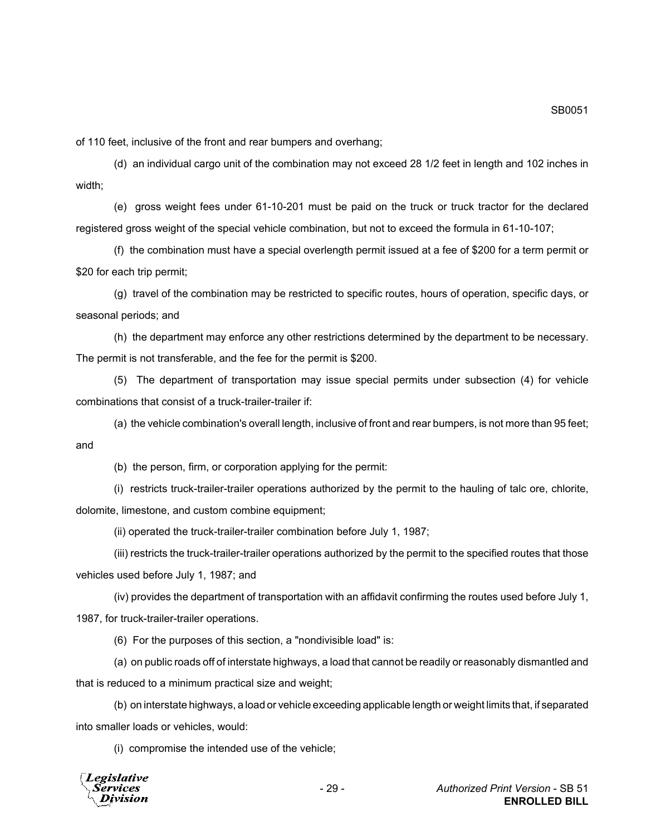of 110 feet, inclusive of the front and rear bumpers and overhang;

(d) an individual cargo unit of the combination may not exceed 28 1/2 feet in length and 102 inches in width;

(e) gross weight fees under 61-10-201 must be paid on the truck or truck tractor for the declared registered gross weight of the special vehicle combination, but not to exceed the formula in 61-10-107;

(f) the combination must have a special overlength permit issued at a fee of \$200 for a term permit or \$20 for each trip permit;

(g) travel of the combination may be restricted to specific routes, hours of operation, specific days, or seasonal periods; and

(h) the department may enforce any other restrictions determined by the department to be necessary. The permit is not transferable, and the fee for the permit is \$200.

(5) The department of transportation may issue special permits under subsection (4) for vehicle combinations that consist of a truck-trailer-trailer if:

(a) the vehicle combination's overall length, inclusive of front and rear bumpers, is not more than 95 feet; and

(b) the person, firm, or corporation applying for the permit:

(i) restricts truck-trailer-trailer operations authorized by the permit to the hauling of talc ore, chlorite, dolomite, limestone, and custom combine equipment;

(ii) operated the truck-trailer-trailer combination before July 1, 1987;

(iii) restricts the truck-trailer-trailer operations authorized by the permit to the specified routes that those vehicles used before July 1, 1987; and

(iv) provides the department of transportation with an affidavit confirming the routes used before July 1, 1987, for truck-trailer-trailer operations.

(6) For the purposes of this section, a "nondivisible load" is:

(a) on public roads off of interstate highways, a load that cannot be readily or reasonably dismantled and that is reduced to a minimum practical size and weight;

(b) on interstate highways, a load or vehicle exceeding applicable length or weight limits that, if separated into smaller loads or vehicles, would:

(i) compromise the intended use of the vehicle;

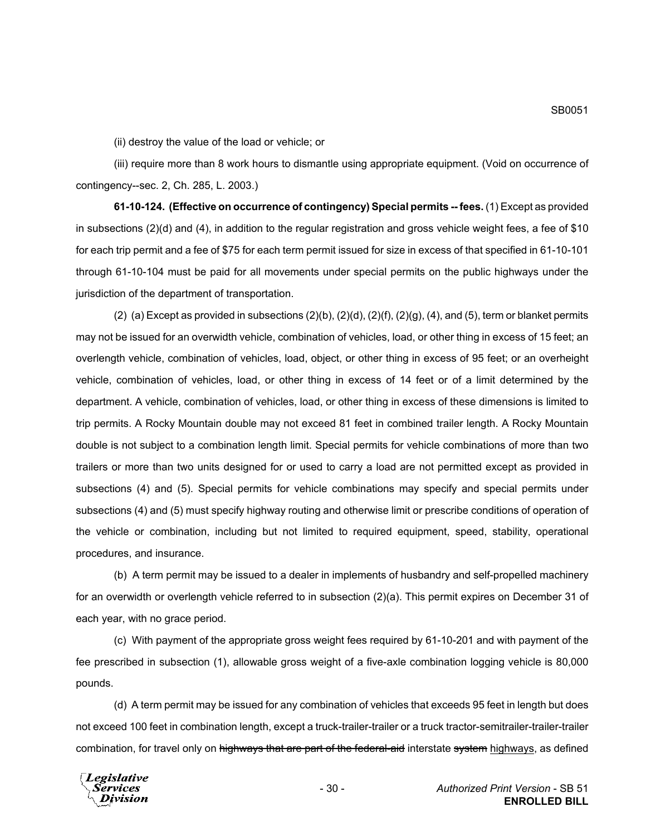(ii) destroy the value of the load or vehicle; or

(iii) require more than 8 work hours to dismantle using appropriate equipment. (Void on occurrence of contingency--sec. 2, Ch. 285, L. 2003.)

**61-10-124. (Effective on occurrence of contingency) Special permits -- fees.** (1) Except as provided in subsections (2)(d) and (4), in addition to the regular registration and gross vehicle weight fees, a fee of \$10 for each trip permit and a fee of \$75 for each term permit issued for size in excess of that specified in 61-10-101 through 61-10-104 must be paid for all movements under special permits on the public highways under the jurisdiction of the department of transportation.

(2) (a) Except as provided in subsections  $(2)(b)$ ,  $(2)(d)$ ,  $(2)(f)$ ,  $(2)(g)$ ,  $(4)$ , and  $(5)$ , term or blanket permits may not be issued for an overwidth vehicle, combination of vehicles, load, or other thing in excess of 15 feet; an overlength vehicle, combination of vehicles, load, object, or other thing in excess of 95 feet; or an overheight vehicle, combination of vehicles, load, or other thing in excess of 14 feet or of a limit determined by the department. A vehicle, combination of vehicles, load, or other thing in excess of these dimensions is limited to trip permits. A Rocky Mountain double may not exceed 81 feet in combined trailer length. A Rocky Mountain double is not subject to a combination length limit. Special permits for vehicle combinations of more than two trailers or more than two units designed for or used to carry a load are not permitted except as provided in subsections (4) and (5). Special permits for vehicle combinations may specify and special permits under subsections (4) and (5) must specify highway routing and otherwise limit or prescribe conditions of operation of the vehicle or combination, including but not limited to required equipment, speed, stability, operational procedures, and insurance.

(b) A term permit may be issued to a dealer in implements of husbandry and self-propelled machinery for an overwidth or overlength vehicle referred to in subsection (2)(a). This permit expires on December 31 of each year, with no grace period.

(c) With payment of the appropriate gross weight fees required by 61-10-201 and with payment of the fee prescribed in subsection (1), allowable gross weight of a five-axle combination logging vehicle is 80,000 pounds.

(d) A term permit may be issued for any combination of vehicles that exceeds 95 feet in length but does not exceed 100 feet in combination length, except a truck-trailer-trailer or a truck tractor-semitrailer-trailer-trailer combination, for travel only on highways that are part of the federal-aid interstate system highways, as defined

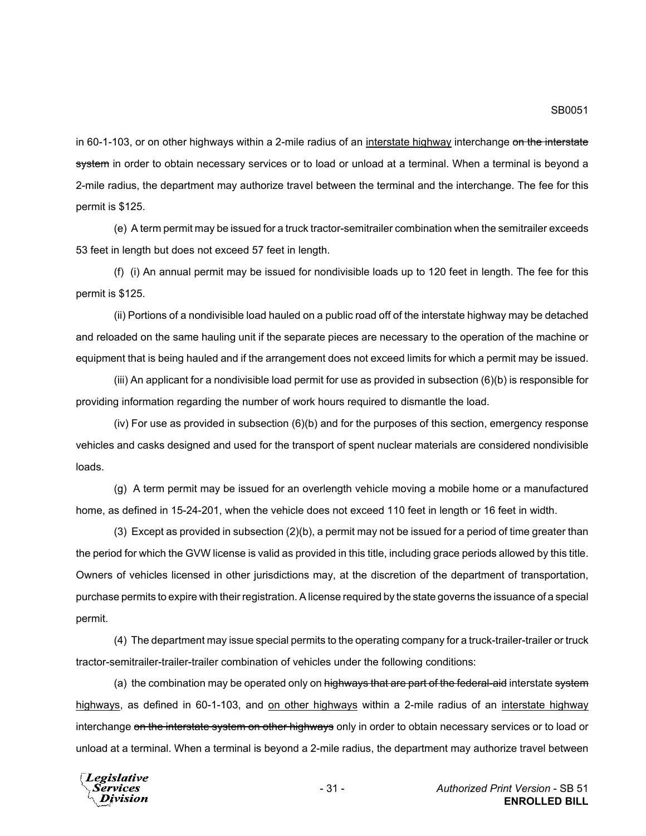in 60-1-103, or on other highways within a 2-mile radius of an interstate highway interchange on the interstate system in order to obtain necessary services or to load or unload at a terminal. When a terminal is beyond a 2-mile radius, the department may authorize travel between the terminal and the interchange. The fee for this permit is \$125.

(e) A term permit may be issued for a truck tractor-semitrailer combination when the semitrailer exceeds 53 feet in length but does not exceed 57 feet in length.

(f) (i) An annual permit may be issued for nondivisible loads up to 120 feet in length. The fee for this permit is \$125.

(ii) Portions of a nondivisible load hauled on a public road off of the interstate highway may be detached and reloaded on the same hauling unit if the separate pieces are necessary to the operation of the machine or equipment that is being hauled and if the arrangement does not exceed limits for which a permit may be issued.

(iii) An applicant for a nondivisible load permit for use as provided in subsection (6)(b) is responsible for providing information regarding the number of work hours required to dismantle the load.

(iv) For use as provided in subsection (6)(b) and for the purposes of this section, emergency response vehicles and casks designed and used for the transport of spent nuclear materials are considered nondivisible loads.

(g) A term permit may be issued for an overlength vehicle moving a mobile home or a manufactured home, as defined in 15-24-201, when the vehicle does not exceed 110 feet in length or 16 feet in width.

(3) Except as provided in subsection (2)(b), a permit may not be issued for a period of time greater than the period for which the GVW license is valid as provided in this title, including grace periods allowed by this title. Owners of vehicles licensed in other jurisdictions may, at the discretion of the department of transportation, purchase permits to expire with their registration. A license required by the state governs the issuance of a special permit.

(4) The department may issue special permits to the operating company for a truck-trailer-trailer or truck tractor-semitrailer-trailer-trailer combination of vehicles under the following conditions:

(a) the combination may be operated only on highways that are part of the federal-aid interstate system highways, as defined in 60-1-103, and on other highways within a 2-mile radius of an interstate highway interchange on the interstate system on other highways only in order to obtain necessary services or to load or unload at a terminal. When a terminal is beyond a 2-mile radius, the department may authorize travel between

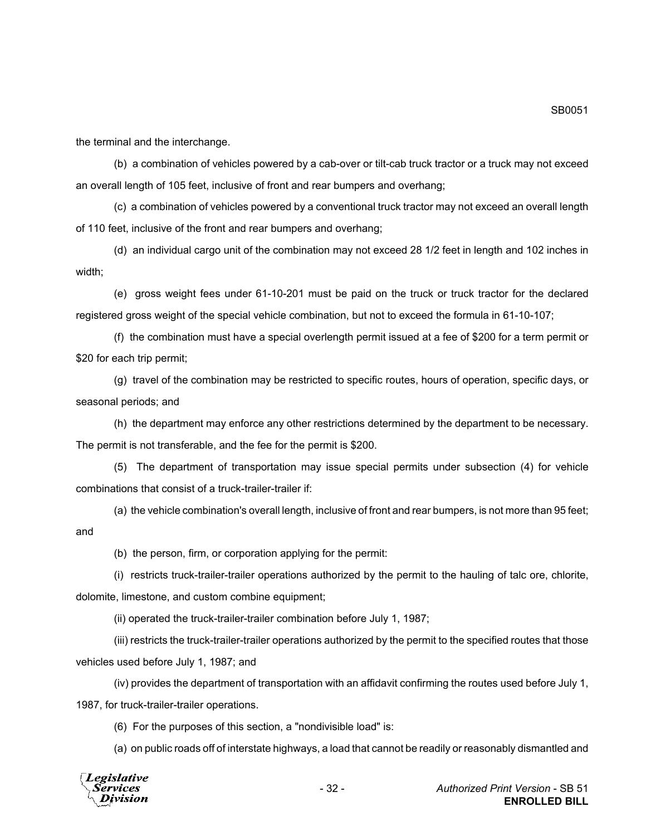the terminal and the interchange.

(b) a combination of vehicles powered by a cab-over or tilt-cab truck tractor or a truck may not exceed an overall length of 105 feet, inclusive of front and rear bumpers and overhang;

(c) a combination of vehicles powered by a conventional truck tractor may not exceed an overall length of 110 feet, inclusive of the front and rear bumpers and overhang;

(d) an individual cargo unit of the combination may not exceed 28 1/2 feet in length and 102 inches in width;

(e) gross weight fees under 61-10-201 must be paid on the truck or truck tractor for the declared registered gross weight of the special vehicle combination, but not to exceed the formula in 61-10-107;

(f) the combination must have a special overlength permit issued at a fee of \$200 for a term permit or \$20 for each trip permit;

(g) travel of the combination may be restricted to specific routes, hours of operation, specific days, or seasonal periods; and

(h) the department may enforce any other restrictions determined by the department to be necessary. The permit is not transferable, and the fee for the permit is \$200.

(5) The department of transportation may issue special permits under subsection (4) for vehicle combinations that consist of a truck-trailer-trailer if:

(a) the vehicle combination's overall length, inclusive of front and rear bumpers, is not more than 95 feet; and

(b) the person, firm, or corporation applying for the permit:

(i) restricts truck-trailer-trailer operations authorized by the permit to the hauling of talc ore, chlorite, dolomite, limestone, and custom combine equipment;

(ii) operated the truck-trailer-trailer combination before July 1, 1987;

(iii) restricts the truck-trailer-trailer operations authorized by the permit to the specified routes that those vehicles used before July 1, 1987; and

(iv) provides the department of transportation with an affidavit confirming the routes used before July 1, 1987, for truck-trailer-trailer operations.

(6) For the purposes of this section, a "nondivisible load" is:

(a) on public roads off of interstate highways, a load that cannot be readily or reasonably dismantled and



SB0051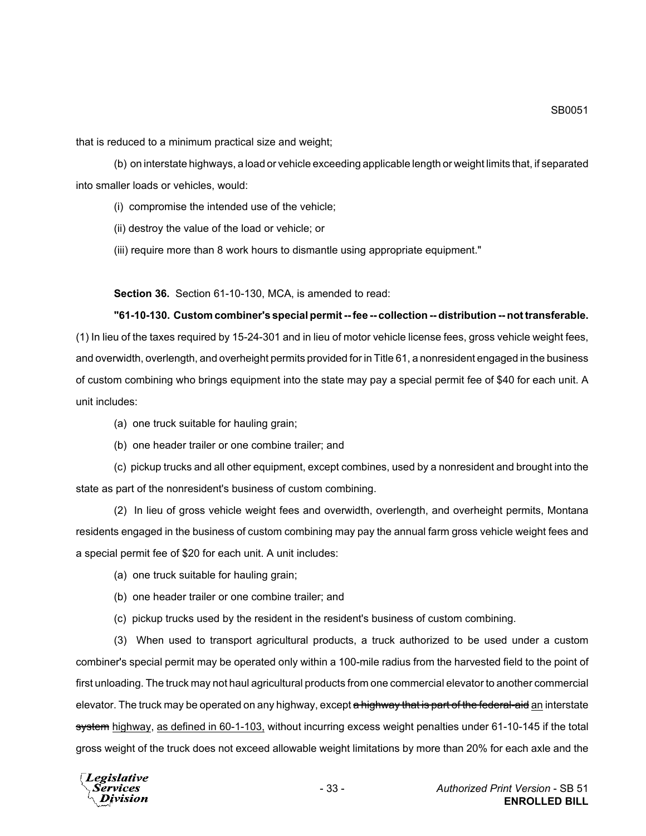that is reduced to a minimum practical size and weight;

(b) on interstate highways, a load or vehicle exceeding applicable length or weight limits that, if separated into smaller loads or vehicles, would:

(i) compromise the intended use of the vehicle;

(ii) destroy the value of the load or vehicle; or

(iii) require more than 8 work hours to dismantle using appropriate equipment."

**Section 36.** Section 61-10-130, MCA, is amended to read:

# **"61-10-130. Custom combiner's special permit -- fee -- collection -- distribution -- not transferable.** (1) In lieu of the taxes required by 15-24-301 and in lieu of motor vehicle license fees, gross vehicle weight fees, and overwidth, overlength, and overheight permits provided for in Title 61, a nonresident engaged in the business

of custom combining who brings equipment into the state may pay a special permit fee of \$40 for each unit. A unit includes:

- (a) one truck suitable for hauling grain;
- (b) one header trailer or one combine trailer; and

(c) pickup trucks and all other equipment, except combines, used by a nonresident and brought into the state as part of the nonresident's business of custom combining.

(2) In lieu of gross vehicle weight fees and overwidth, overlength, and overheight permits, Montana residents engaged in the business of custom combining may pay the annual farm gross vehicle weight fees and a special permit fee of \$20 for each unit. A unit includes:

(a) one truck suitable for hauling grain;

- (b) one header trailer or one combine trailer; and
- (c) pickup trucks used by the resident in the resident's business of custom combining.

(3) When used to transport agricultural products, a truck authorized to be used under a custom combiner's special permit may be operated only within a 100-mile radius from the harvested field to the point of first unloading. The truck may not haul agricultural products from one commercial elevator to another commercial elevator. The truck may be operated on any highway, except a highway that is part of the federal-aid an interstate system highway, as defined in 60-1-103, without incurring excess weight penalties under 61-10-145 if the total gross weight of the truck does not exceed allowable weight limitations by more than 20% for each axle and the

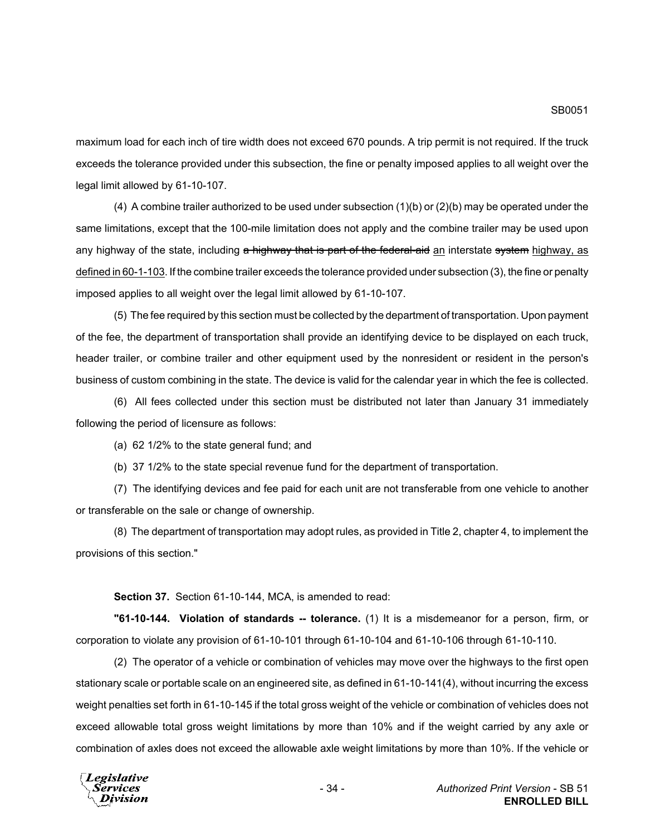maximum load for each inch of tire width does not exceed 670 pounds. A trip permit is not required. If the truck exceeds the tolerance provided under this subsection, the fine or penalty imposed applies to all weight over the legal limit allowed by 61-10-107.

(4) A combine trailer authorized to be used under subsection (1)(b) or (2)(b) may be operated under the same limitations, except that the 100-mile limitation does not apply and the combine trailer may be used upon any highway of the state, including a highway that is part of the federal-aid an interstate system highway, as defined in 60-1-103. If the combine trailer exceeds the tolerance provided under subsection (3), the fine or penalty imposed applies to all weight over the legal limit allowed by 61-10-107.

(5) The fee required by this section must be collected by the department of transportation. Upon payment of the fee, the department of transportation shall provide an identifying device to be displayed on each truck, header trailer, or combine trailer and other equipment used by the nonresident or resident in the person's business of custom combining in the state. The device is valid for the calendar year in which the fee is collected.

(6) All fees collected under this section must be distributed not later than January 31 immediately following the period of licensure as follows:

(a) 62 1/2% to the state general fund; and

(b) 37 1/2% to the state special revenue fund for the department of transportation.

(7) The identifying devices and fee paid for each unit are not transferable from one vehicle to another or transferable on the sale or change of ownership.

(8) The department of transportation may adopt rules, as provided in Title 2, chapter 4, to implement the provisions of this section."

**Section 37.** Section 61-10-144, MCA, is amended to read:

**"61-10-144. Violation of standards -- tolerance.** (1) It is a misdemeanor for a person, firm, or corporation to violate any provision of 61-10-101 through 61-10-104 and 61-10-106 through 61-10-110.

(2) The operator of a vehicle or combination of vehicles may move over the highways to the first open stationary scale or portable scale on an engineered site, as defined in 61-10-141(4), without incurring the excess weight penalties set forth in 61-10-145 if the total gross weight of the vehicle or combination of vehicles does not exceed allowable total gross weight limitations by more than 10% and if the weight carried by any axle or combination of axles does not exceed the allowable axle weight limitations by more than 10%. If the vehicle or

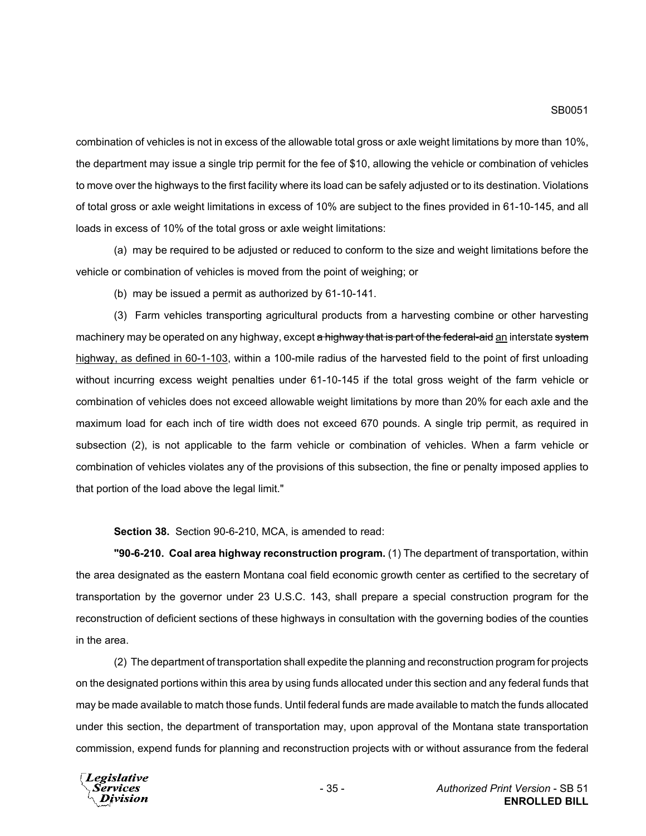combination of vehicles is not in excess of the allowable total gross or axle weight limitations by more than 10%, the department may issue a single trip permit for the fee of \$10, allowing the vehicle or combination of vehicles to move over the highways to the first facility where its load can be safely adjusted or to its destination. Violations of total gross or axle weight limitations in excess of 10% are subject to the fines provided in 61-10-145, and all loads in excess of 10% of the total gross or axle weight limitations:

(a) may be required to be adjusted or reduced to conform to the size and weight limitations before the vehicle or combination of vehicles is moved from the point of weighing; or

(b) may be issued a permit as authorized by 61-10-141.

(3) Farm vehicles transporting agricultural products from a harvesting combine or other harvesting machinery may be operated on any highway, except a highway that is part of the federal-aid an interstate system highway, as defined in 60-1-103, within a 100-mile radius of the harvested field to the point of first unloading without incurring excess weight penalties under 61-10-145 if the total gross weight of the farm vehicle or combination of vehicles does not exceed allowable weight limitations by more than 20% for each axle and the maximum load for each inch of tire width does not exceed 670 pounds. A single trip permit, as required in subsection (2), is not applicable to the farm vehicle or combination of vehicles. When a farm vehicle or combination of vehicles violates any of the provisions of this subsection, the fine or penalty imposed applies to that portion of the load above the legal limit."

**Section 38.** Section 90-6-210, MCA, is amended to read:

**"90-6-210. Coal area highway reconstruction program.** (1) The department of transportation, within the area designated as the eastern Montana coal field economic growth center as certified to the secretary of transportation by the governor under 23 U.S.C. 143, shall prepare a special construction program for the reconstruction of deficient sections of these highways in consultation with the governing bodies of the counties in the area.

(2) The department of transportation shall expedite the planning and reconstruction program for projects on the designated portions within this area by using funds allocated under this section and any federal funds that may be made available to match those funds. Until federal funds are made available to match the funds allocated under this section, the department of transportation may, upon approval of the Montana state transportation commission, expend funds for planning and reconstruction projects with or without assurance from the federal

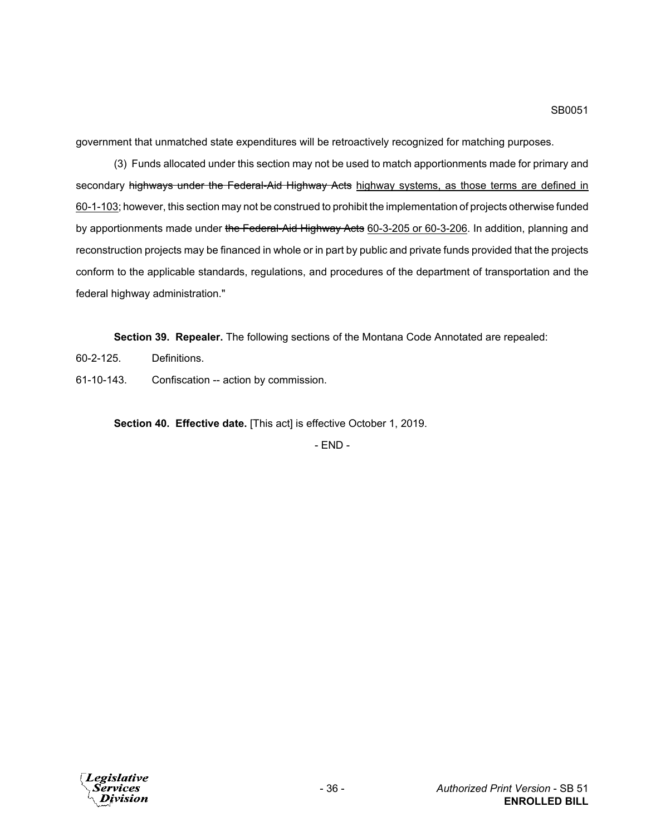government that unmatched state expenditures will be retroactively recognized for matching purposes.

(3) Funds allocated under this section may not be used to match apportionments made for primary and secondary highways under the Federal-Aid Highway Acts highway systems, as those terms are defined in 60-1-103; however, this section may not be construed to prohibit the implementation of projects otherwise funded by apportionments made under the Federal-Aid Highway Acts 60-3-205 or 60-3-206. In addition, planning and reconstruction projects may be financed in whole or in part by public and private funds provided that the projects conform to the applicable standards, regulations, and procedures of the department of transportation and the federal highway administration."

**Section 39. Repealer.** The following sections of the Montana Code Annotated are repealed:

- 60-2-125. Definitions.
- 61-10-143. Confiscation -- action by commission.

**Section 40. Effective date.** [This act] is effective October 1, 2019.

- END -

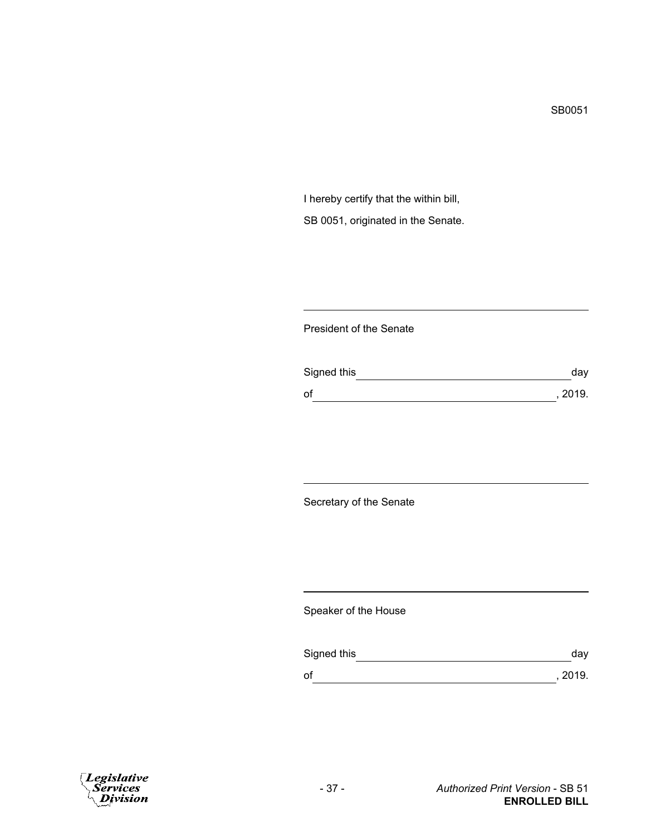I hereby certify that the within bill, SB 0051, originated in the Senate.

### President of the Senate

| Signed this | day     |
|-------------|---------|
| of          | , 2019. |

Secretary of the Senate

Speaker of the House

| Signed this | dav     |
|-------------|---------|
| оf          | , 2019. |